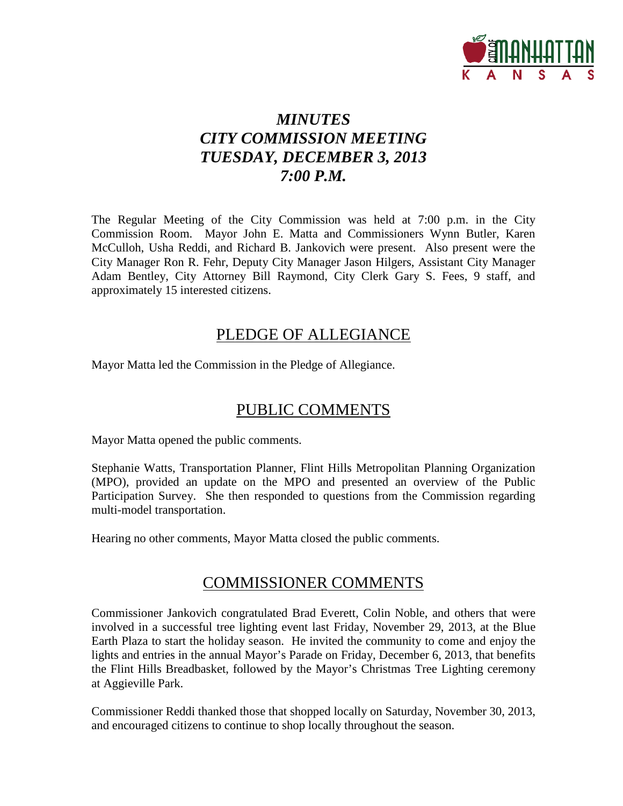

# *MINUTES CITY COMMISSION MEETING TUESDAY, DECEMBER 3, 2013 7:00 P.M.*

The Regular Meeting of the City Commission was held at 7:00 p.m. in the City Commission Room. Mayor John E. Matta and Commissioners Wynn Butler, Karen McCulloh, Usha Reddi, and Richard B. Jankovich were present. Also present were the City Manager Ron R. Fehr, Deputy City Manager Jason Hilgers, Assistant City Manager Adam Bentley, City Attorney Bill Raymond, City Clerk Gary S. Fees, 9 staff, and approximately 15 interested citizens.

# PLEDGE OF ALLEGIANCE

Mayor Matta led the Commission in the Pledge of Allegiance.

# PUBLIC COMMENTS

Mayor Matta opened the public comments.

Stephanie Watts, Transportation Planner, Flint Hills Metropolitan Planning Organization (MPO), provided an update on the MPO and presented an overview of the Public Participation Survey. She then responded to questions from the Commission regarding multi-model transportation.

Hearing no other comments, Mayor Matta closed the public comments.

# COMMISSIONER COMMENTS

Commissioner Jankovich congratulated Brad Everett, Colin Noble, and others that were involved in a successful tree lighting event last Friday, November 29, 2013, at the Blue Earth Plaza to start the holiday season. He invited the community to come and enjoy the lights and entries in the annual Mayor's Parade on Friday, December 6, 2013, that benefits the Flint Hills Breadbasket, followed by the Mayor's Christmas Tree Lighting ceremony at Aggieville Park.

Commissioner Reddi thanked those that shopped locally on Saturday, November 30, 2013, and encouraged citizens to continue to shop locally throughout the season.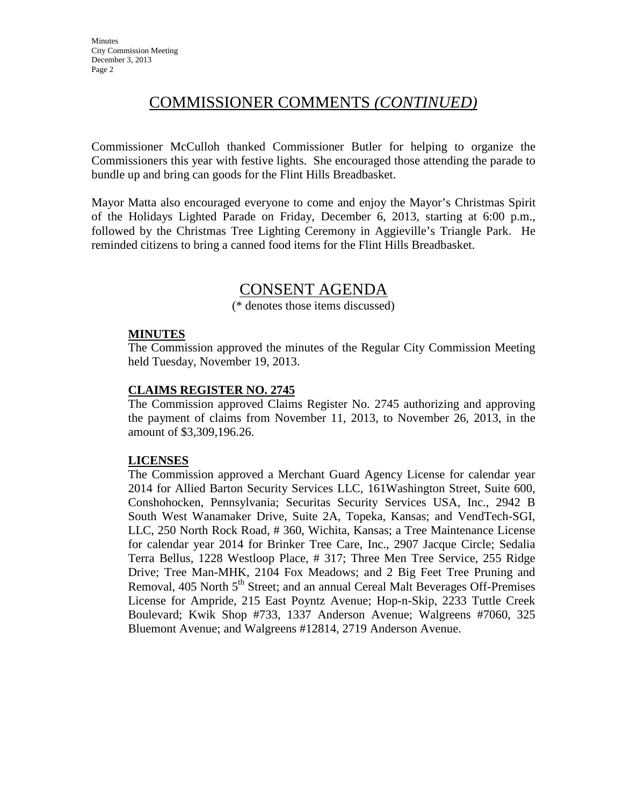# COMMISSIONER COMMENTS *(CONTINUED)*

Commissioner McCulloh thanked Commissioner Butler for helping to organize the Commissioners this year with festive lights. She encouraged those attending the parade to bundle up and bring can goods for the Flint Hills Breadbasket.

Mayor Matta also encouraged everyone to come and enjoy the Mayor's Christmas Spirit of the Holidays Lighted Parade on Friday, December 6, 2013, starting at 6:00 p.m., followed by the Christmas Tree Lighting Ceremony in Aggieville's Triangle Park. He reminded citizens to bring a canned food items for the Flint Hills Breadbasket.

# CONSENT AGENDA

(\* denotes those items discussed)

## **MINUTES**

The Commission approved the minutes of the Regular City Commission Meeting held Tuesday, November 19, 2013.

# **CLAIMS REGISTER NO. 2745**

The Commission approved Claims Register No. 2745 authorizing and approving the payment of claims from November 11, 2013, to November 26, 2013, in the amount of \$3,309,196.26.

# **LICENSES**

The Commission approved a Merchant Guard Agency License for calendar year 2014 for Allied Barton Security Services LLC, 161Washington Street, Suite 600, Conshohocken, Pennsylvania; Securitas Security Services USA, Inc., 2942 B South West Wanamaker Drive, Suite 2A, Topeka, Kansas; and VendTech-SGI, LLC, 250 North Rock Road, # 360, Wichita, Kansas; a Tree Maintenance License for calendar year 2014 for Brinker Tree Care, Inc., 2907 Jacque Circle; Sedalia Terra Bellus, 1228 Westloop Place, # 317; Three Men Tree Service, 255 Ridge Drive; Tree Man-MHK, 2104 Fox Meadows; and 2 Big Feet Tree Pruning and Removal, 405 North 5<sup>th</sup> Street; and an annual Cereal Malt Beverages Off-Premises License for Ampride, 215 East Poyntz Avenue; Hop-n-Skip, 2233 Tuttle Creek Boulevard; Kwik Shop #733, 1337 Anderson Avenue; Walgreens #7060, 325 Bluemont Avenue; and Walgreens #12814, 2719 Anderson Avenue.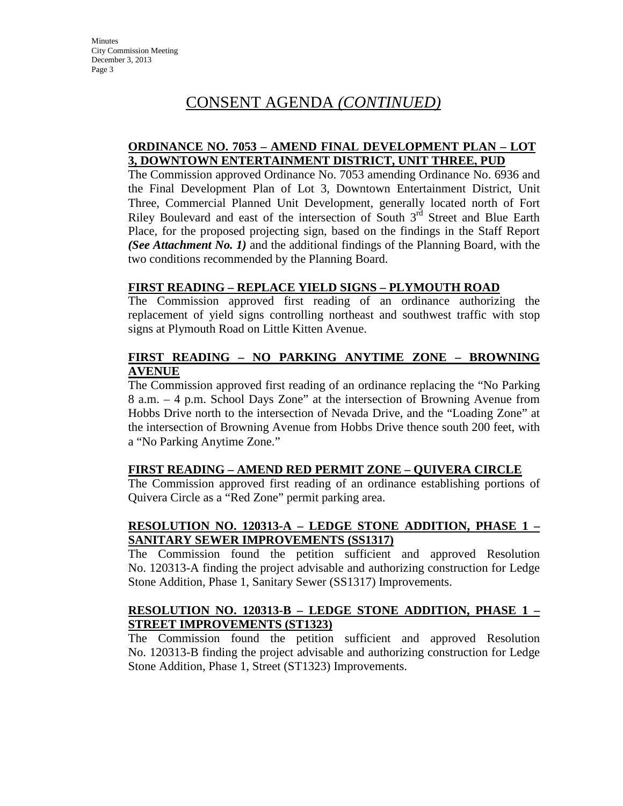## **ORDINANCE NO. 7053 – AMEND FINAL DEVELOPMENT PLAN – LOT 3, DOWNTOWN ENTERTAINMENT DISTRICT, UNIT THREE, PUD**

The Commission approved Ordinance No. 7053 amending Ordinance No. 6936 and the Final Development Plan of Lot 3, Downtown Entertainment District, Unit Three, Commercial Planned Unit Development, generally located north of Fort Riley Boulevard and east of the intersection of South 3<sup>rd</sup> Street and Blue Earth Place, for the proposed projecting sign, based on the findings in the Staff Report *(See Attachment No. 1)* and the additional findings of the Planning Board, with the two conditions recommended by the Planning Board.

# **FIRST READING – REPLACE YIELD SIGNS – PLYMOUTH ROAD**

The Commission approved first reading of an ordinance authorizing the replacement of yield signs controlling northeast and southwest traffic with stop signs at Plymouth Road on Little Kitten Avenue.

## **FIRST READING – NO PARKING ANYTIME ZONE – BROWNING AVENUE**

The Commission approved first reading of an ordinance replacing the "No Parking 8 a.m. – 4 p.m. School Days Zone" at the intersection of Browning Avenue from Hobbs Drive north to the intersection of Nevada Drive, and the "Loading Zone" at the intersection of Browning Avenue from Hobbs Drive thence south 200 feet, with a "No Parking Anytime Zone."

# **FIRST READING – AMEND RED PERMIT ZONE – QUIVERA CIRCLE**

The Commission approved first reading of an ordinance establishing portions of Quivera Circle as a "Red Zone" permit parking area.

# **RESOLUTION NO. 120313-A – LEDGE STONE ADDITION, PHASE 1 – SANITARY SEWER IMPROVEMENTS (SS1317)**

The Commission found the petition sufficient and approved Resolution No. 120313-A finding the project advisable and authorizing construction for Ledge Stone Addition, Phase 1, Sanitary Sewer (SS1317) Improvements.

# **RESOLUTION NO. 120313-B – LEDGE STONE ADDITION, PHASE 1 – STREET IMPROVEMENTS (ST1323)**

The Commission found the petition sufficient and approved Resolution No. 120313-B finding the project advisable and authorizing construction for Ledge Stone Addition, Phase 1, Street (ST1323) Improvements.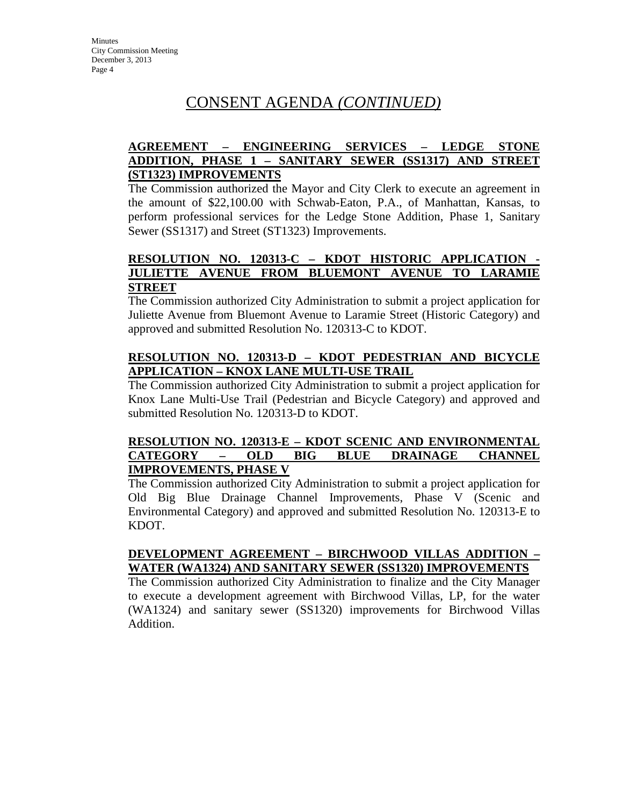## **AGREEMENT – ENGINEERING SERVICES – LEDGE STONE ADDITION, PHASE 1 – SANITARY SEWER (SS1317) AND STREET (ST1323) IMPROVEMENTS**

The Commission authorized the Mayor and City Clerk to execute an agreement in the amount of \$22,100.00 with Schwab-Eaton, P.A., of Manhattan, Kansas, to perform professional services for the Ledge Stone Addition, Phase 1, Sanitary Sewer (SS1317) and Street (ST1323) Improvements.

## **RESOLUTION NO. 120313-C – KDOT HISTORIC APPLICATION - JULIETTE AVENUE FROM BLUEMONT AVENUE TO LARAMIE STREET**

The Commission authorized City Administration to submit a project application for Juliette Avenue from Bluemont Avenue to Laramie Street (Historic Category) and approved and submitted Resolution No. 120313-C to KDOT.

# **RESOLUTION NO. 120313-D – KDOT PEDESTRIAN AND BICYCLE APPLICATION – KNOX LANE MULTI-USE TRAIL**

The Commission authorized City Administration to submit a project application for Knox Lane Multi-Use Trail (Pedestrian and Bicycle Category) and approved and submitted Resolution No. 120313-D to KDOT.

## **RESOLUTION NO. 120313-E – KDOT SCENIC AND ENVIRONMENTAL CATEGORY – OLD BIG BLUE DRAINAGE CHANNEL IMPROVEMENTS, PHASE V**

The Commission authorized City Administration to submit a project application for Old Big Blue Drainage Channel Improvements, Phase V (Scenic and Environmental Category) and approved and submitted Resolution No. 120313-E to KDOT.

# **DEVELOPMENT AGREEMENT – BIRCHWOOD VILLAS ADDITION – WATER (WA1324) AND SANITARY SEWER (SS1320) IMPROVEMENTS**

The Commission authorized City Administration to finalize and the City Manager to execute a development agreement with Birchwood Villas, LP, for the water (WA1324) and sanitary sewer (SS1320) improvements for Birchwood Villas Addition.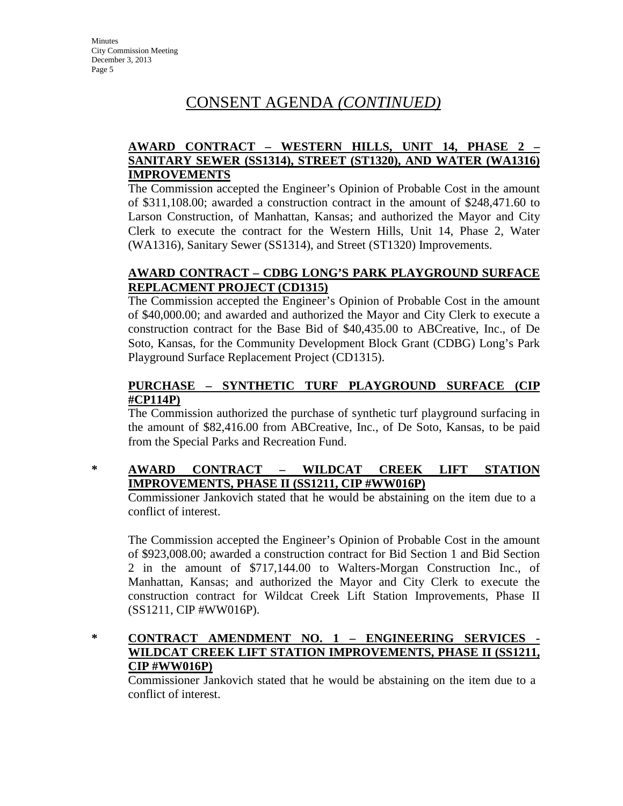# **AWARD CONTRACT – WESTERN HILLS, UNIT 14, PHASE 2 – SANITARY SEWER (SS1314), STREET (ST1320), AND WATER (WA1316) IMPROVEMENTS**

The Commission accepted the Engineer's Opinion of Probable Cost in the amount of \$311,108.00; awarded a construction contract in the amount of \$248,471.60 to Larson Construction, of Manhattan, Kansas; and authorized the Mayor and City Clerk to execute the contract for the Western Hills, Unit 14, Phase 2, Water (WA1316), Sanitary Sewer (SS1314), and Street (ST1320) Improvements.

# **AWARD CONTRACT – CDBG LONG'S PARK PLAYGROUND SURFACE REPLACMENT PROJECT (CD1315)**

The Commission accepted the Engineer's Opinion of Probable Cost in the amount of \$40,000.00; and awarded and authorized the Mayor and City Clerk to execute a construction contract for the Base Bid of \$40,435.00 to ABCreative, Inc., of De Soto, Kansas, for the Community Development Block Grant (CDBG) Long's Park Playground Surface Replacement Project (CD1315).

# **PURCHASE – SYNTHETIC TURF PLAYGROUND SURFACE (CIP #CP114P)**

The Commission authorized the purchase of synthetic turf playground surfacing in the amount of \$82,416.00 from ABCreative, Inc., of De Soto, Kansas, to be paid from the Special Parks and Recreation Fund.

# **\* AWARD CONTRACT – WILDCAT CREEK LIFT STATION IMPROVEMENTS, PHASE II (SS1211, CIP #WW016P)**

Commissioner Jankovich stated that he would be abstaining on the item due to a conflict of interest.

The Commission accepted the Engineer's Opinion of Probable Cost in the amount of \$923,008.00; awarded a construction contract for Bid Section 1 and Bid Section 2 in the amount of \$717,144.00 to Walters-Morgan Construction Inc., of Manhattan, Kansas; and authorized the Mayor and City Clerk to execute the construction contract for Wildcat Creek Lift Station Improvements, Phase II (SS1211, CIP #WW016P).

# \* **CONTRACT AMENDMENT NO. 1 – ENGINEERING SERVICES WILDCAT CREEK LIFT STATION IMPROVEMENTS, PHASE II (SS1211, CIP #WW016P)**

Commissioner Jankovich stated that he would be abstaining on the item due to a conflict of interest.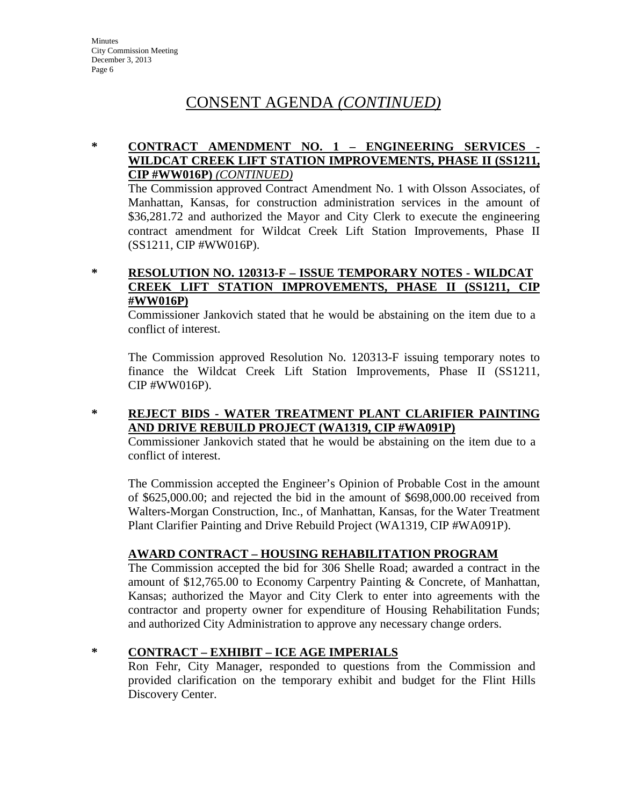# **\* CONTRACT AMENDMENT NO. 1 – ENGINEERING SERVICES - WILDCAT CREEK LIFT STATION IMPROVEMENTS, PHASE II (SS1211, CIP #WW016P)** *(CONTINUED)*

The Commission approved Contract Amendment No. 1 with Olsson Associates, of Manhattan, Kansas, for construction administration services in the amount of \$36,281.72 and authorized the Mayor and City Clerk to execute the engineering contract amendment for Wildcat Creek Lift Station Improvements, Phase II (SS1211, CIP #WW016P).

# **\* RESOLUTION NO. 120313-F – ISSUE TEMPORARY NOTES - WILDCAT CREEK LIFT STATION IMPROVEMENTS, PHASE II (SS1211, CIP #WW016P)**

Commissioner Jankovich stated that he would be abstaining on the item due to a conflict of interest.

The Commission approved Resolution No. 120313-F issuing temporary notes to finance the Wildcat Creek Lift Station Improvements, Phase II (SS1211, CIP #WW016P).

## **\* REJECT BIDS - WATER TREATMENT PLANT CLARIFIER PAINTING AND DRIVE REBUILD PROJECT (WA1319, CIP #WA091P)**

Commissioner Jankovich stated that he would be abstaining on the item due to a conflict of interest.

The Commission accepted the Engineer's Opinion of Probable Cost in the amount of \$625,000.00; and rejected the bid in the amount of \$698,000.00 received from Walters-Morgan Construction, Inc., of Manhattan, Kansas, for the Water Treatment Plant Clarifier Painting and Drive Rebuild Project (WA1319, CIP #WA091P).

# **AWARD CONTRACT – HOUSING REHABILITATION PROGRAM**

The Commission accepted the bid for 306 Shelle Road; awarded a contract in the amount of \$12,765.00 to Economy Carpentry Painting & Concrete, of Manhattan, Kansas; authorized the Mayor and City Clerk to enter into agreements with the contractor and property owner for expenditure of Housing Rehabilitation Funds; and authorized City Administration to approve any necessary change orders.

# **\* CONTRACT – EXHIBIT – ICE AGE IMPERIALS**

Ron Fehr, City Manager, responded to questions from the Commission and provided clarification on the temporary exhibit and budget for the Flint Hills Discovery Center.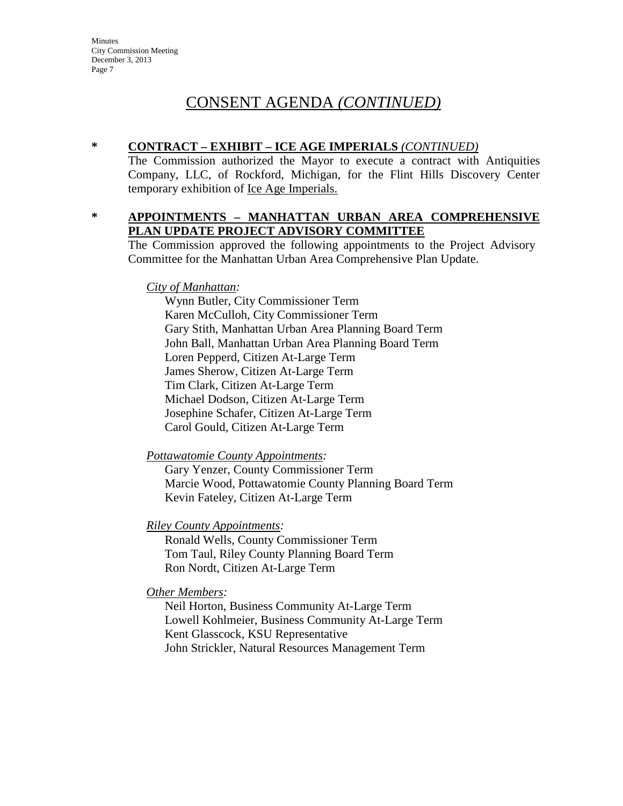**Minutes** City Commission Meeting December 3, 2013 Page 7

# CONSENT AGENDA *(CONTINUED)*

# **\* CONTRACT – EXHIBIT – ICE AGE IMPERIALS** *(CONTINUED)*

The Commission authorized the Mayor to execute a contract with Antiquities Company, LLC, of Rockford, Michigan, for the Flint Hills Discovery Center temporary exhibition of <u>Ice Age Imperials.</u>

## **\* APPOINTMENTS – MANHATTAN URBAN AREA COMPREHENSIVE PLAN UPDATE PROJECT ADVISORY COMMITTEE**

The Commission approved the following appointments to the Project Advisory Committee for the Manhattan Urban Area Comprehensive Plan Update.

### *City of Manhattan:*

Wynn Butler, City Commissioner Term Karen McCulloh, City Commissioner Term Gary Stith, Manhattan Urban Area Planning Board Term John Ball, Manhattan Urban Area Planning Board Term Loren Pepperd, Citizen At-Large Term James Sherow, Citizen At-Large Term Tim Clark, Citizen At-Large Term Michael Dodson, Citizen At-Large Term Josephine Schafer, Citizen At-Large Term Carol Gould, Citizen At-Large Term

*Pottawatomie County Appointments:*

Gary Yenzer, County Commissioner Term Marcie Wood, Pottawatomie County Planning Board Term Kevin Fateley, Citizen At-Large Term

# *Riley County Appointments:*

Ronald Wells, County Commissioner Term Tom Taul, Riley County Planning Board Term Ron Nordt, Citizen At-Large Term

# *Other Members:*

Neil Horton, Business Community At-Large Term Lowell Kohlmeier, Business Community At-Large Term Kent Glasscock, KSU Representative John Strickler, Natural Resources Management Term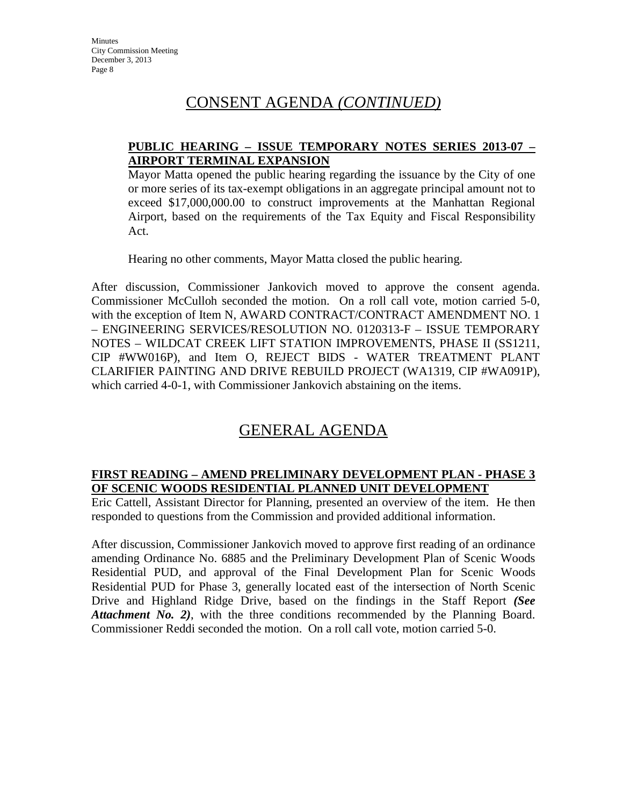# **PUBLIC HEARING – ISSUE TEMPORARY NOTES SERIES 2013-07 – AIRPORT TERMINAL EXPANSION**

Mayor Matta opened the public hearing regarding the issuance by the City of one or more series of its tax-exempt obligations in an aggregate principal amount not to exceed \$17,000,000.00 to construct improvements at the Manhattan Regional Airport, based on the requirements of the Tax Equity and Fiscal Responsibility Act.

Hearing no other comments, Mayor Matta closed the public hearing.

After discussion, Commissioner Jankovich moved to approve the consent agenda. Commissioner McCulloh seconded the motion. On a roll call vote, motion carried 5-0, with the exception of Item N, AWARD CONTRACT/CONTRACT AMENDMENT NO. 1 – ENGINEERING SERVICES/RESOLUTION NO. 0120313-F – ISSUE TEMPORARY NOTES – WILDCAT CREEK LIFT STATION IMPROVEMENTS, PHASE II (SS1211, CIP #WW016P), and Item O, REJECT BIDS - WATER TREATMENT PLANT CLARIFIER PAINTING AND DRIVE REBUILD PROJECT (WA1319, CIP #WA091P), which carried 4-0-1, with Commissioner Jankovich abstaining on the items.

# GENERAL AGENDA

# **FIRST READING – AMEND PRELIMINARY DEVELOPMENT PLAN - PHASE 3 OF SCENIC WOODS RESIDENTIAL PLANNED UNIT DEVELOPMENT**

Eric Cattell, Assistant Director for Planning, presented an overview of the item. He then responded to questions from the Commission and provided additional information.

After discussion, Commissioner Jankovich moved to approve first reading of an ordinance amending Ordinance No. 6885 and the Preliminary Development Plan of Scenic Woods Residential PUD, and approval of the Final Development Plan for Scenic Woods Residential PUD for Phase 3, generally located east of the intersection of North Scenic Drive and Highland Ridge Drive, based on the findings in the Staff Report *(See Attachment No. 2)*, with the three conditions recommended by the Planning Board. Commissioner Reddi seconded the motion. On a roll call vote, motion carried 5-0.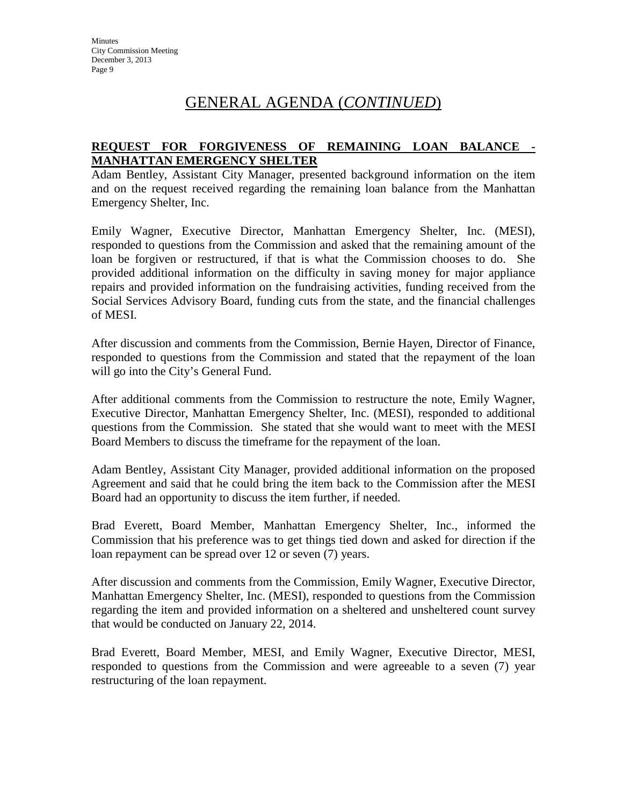# **REQUEST FOR FORGIVENESS OF REMAINING LOAN BALANCE - MANHATTAN EMERGENCY SHELTER**

Adam Bentley, Assistant City Manager, presented background information on the item and on the request received regarding the remaining loan balance from the Manhattan Emergency Shelter, Inc.

Emily Wagner, Executive Director, Manhattan Emergency Shelter, Inc. (MESI), responded to questions from the Commission and asked that the remaining amount of the loan be forgiven or restructured, if that is what the Commission chooses to do. She provided additional information on the difficulty in saving money for major appliance repairs and provided information on the fundraising activities, funding received from the Social Services Advisory Board, funding cuts from the state, and the financial challenges of MESI.

After discussion and comments from the Commission, Bernie Hayen, Director of Finance, responded to questions from the Commission and stated that the repayment of the loan will go into the City's General Fund.

After additional comments from the Commission to restructure the note, Emily Wagner, Executive Director, Manhattan Emergency Shelter, Inc. (MESI), responded to additional questions from the Commission. She stated that she would want to meet with the MESI Board Members to discuss the timeframe for the repayment of the loan.

Adam Bentley, Assistant City Manager, provided additional information on the proposed Agreement and said that he could bring the item back to the Commission after the MESI Board had an opportunity to discuss the item further, if needed.

Brad Everett, Board Member, Manhattan Emergency Shelter, Inc., informed the Commission that his preference was to get things tied down and asked for direction if the loan repayment can be spread over 12 or seven (7) years.

After discussion and comments from the Commission, Emily Wagner, Executive Director, Manhattan Emergency Shelter, Inc. (MESI), responded to questions from the Commission regarding the item and provided information on a sheltered and unsheltered count survey that would be conducted on January 22, 2014.

Brad Everett, Board Member, MESI, and Emily Wagner, Executive Director, MESI, responded to questions from the Commission and were agreeable to a seven (7) year restructuring of the loan repayment.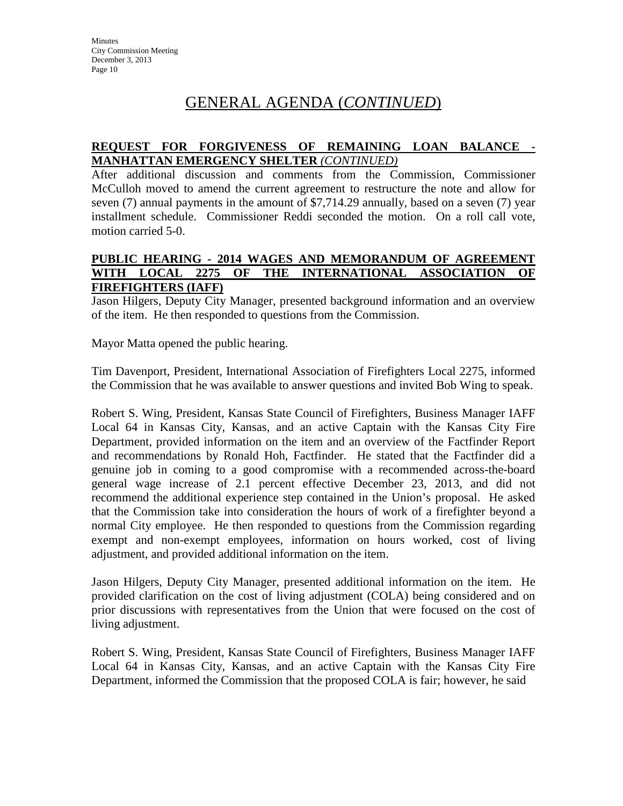# **REQUEST FOR FORGIVENESS OF REMAINING LOAN BALANCE - MANHATTAN EMERGENCY SHELTER** *(CONTINUED)*

After additional discussion and comments from the Commission, Commissioner McCulloh moved to amend the current agreement to restructure the note and allow for seven (7) annual payments in the amount of \$7,714.29 annually, based on a seven (7) year installment schedule. Commissioner Reddi seconded the motion. On a roll call vote, motion carried 5-0.

### **PUBLIC HEARING - 2014 WAGES AND MEMORANDUM OF AGREEMENT WITH LOCAL 2275 OF THE INTERNATIONAL ASSOCIATION OF FIREFIGHTERS (IAFF)**

Jason Hilgers, Deputy City Manager, presented background information and an overview of the item. He then responded to questions from the Commission.

Mayor Matta opened the public hearing.

Tim Davenport, President, International Association of Firefighters Local 2275, informed the Commission that he was available to answer questions and invited Bob Wing to speak.

Robert S. Wing, President, Kansas State Council of Firefighters, Business Manager IAFF Local 64 in Kansas City, Kansas, and an active Captain with the Kansas City Fire Department, provided information on the item and an overview of the Factfinder Report and recommendations by Ronald Hoh, Factfinder. He stated that the Factfinder did a genuine job in coming to a good compromise with a recommended across-the-board general wage increase of 2.1 percent effective December 23, 2013, and did not recommend the additional experience step contained in the Union's proposal. He asked that the Commission take into consideration the hours of work of a firefighter beyond a normal City employee. He then responded to questions from the Commission regarding exempt and non-exempt employees, information on hours worked, cost of living adjustment, and provided additional information on the item.

Jason Hilgers, Deputy City Manager, presented additional information on the item. He provided clarification on the cost of living adjustment (COLA) being considered and on prior discussions with representatives from the Union that were focused on the cost of living adjustment.

Robert S. Wing, President, Kansas State Council of Firefighters, Business Manager IAFF Local 64 in Kansas City, Kansas, and an active Captain with the Kansas City Fire Department, informed the Commission that the proposed COLA is fair; however, he said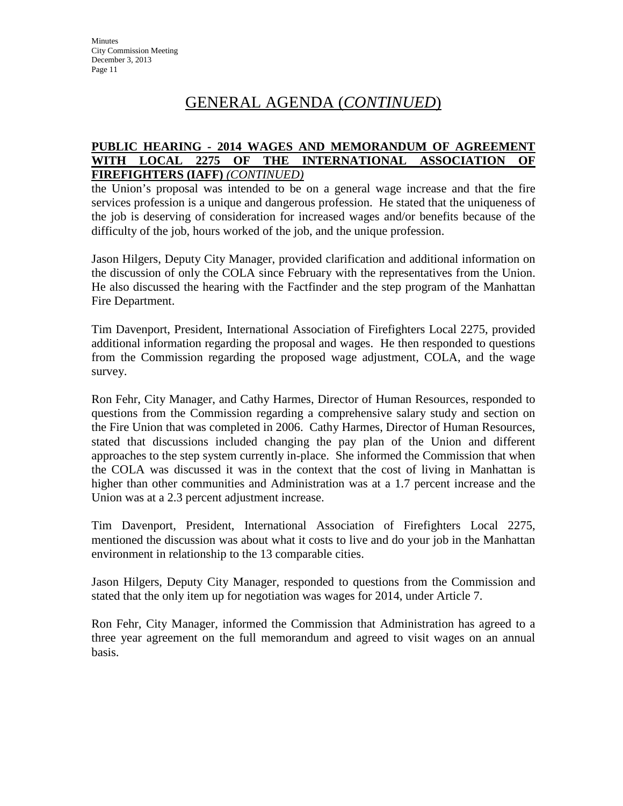### **PUBLIC HEARING - 2014 WAGES AND MEMORANDUM OF AGREEMENT WITH LOCAL 2275 OF THE INTERNATIONAL ASSOCIATION OF FIREFIGHTERS (IAFF)** *(CONTINUED)*

the Union's proposal was intended to be on a general wage increase and that the fire services profession is a unique and dangerous profession. He stated that the uniqueness of the job is deserving of consideration for increased wages and/or benefits because of the difficulty of the job, hours worked of the job, and the unique profession.

Jason Hilgers, Deputy City Manager, provided clarification and additional information on the discussion of only the COLA since February with the representatives from the Union. He also discussed the hearing with the Factfinder and the step program of the Manhattan Fire Department.

Tim Davenport, President, International Association of Firefighters Local 2275, provided additional information regarding the proposal and wages. He then responded to questions from the Commission regarding the proposed wage adjustment, COLA, and the wage survey.

Ron Fehr, City Manager, and Cathy Harmes, Director of Human Resources, responded to questions from the Commission regarding a comprehensive salary study and section on the Fire Union that was completed in 2006. Cathy Harmes, Director of Human Resources, stated that discussions included changing the pay plan of the Union and different approaches to the step system currently in-place. She informed the Commission that when the COLA was discussed it was in the context that the cost of living in Manhattan is higher than other communities and Administration was at a 1.7 percent increase and the Union was at a 2.3 percent adjustment increase.

Tim Davenport, President, International Association of Firefighters Local 2275, mentioned the discussion was about what it costs to live and do your job in the Manhattan environment in relationship to the 13 comparable cities.

Jason Hilgers, Deputy City Manager, responded to questions from the Commission and stated that the only item up for negotiation was wages for 2014, under Article 7.

Ron Fehr, City Manager, informed the Commission that Administration has agreed to a three year agreement on the full memorandum and agreed to visit wages on an annual basis.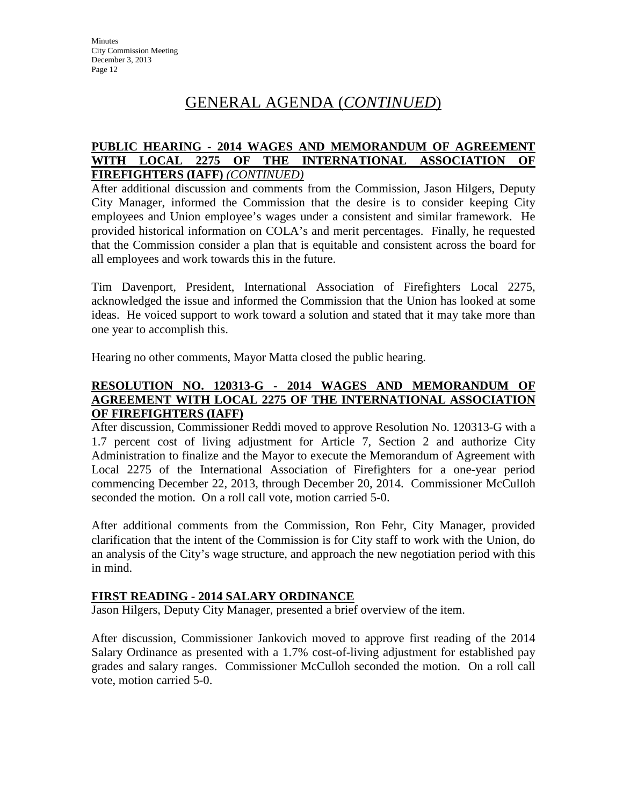## **PUBLIC HEARING - 2014 WAGES AND MEMORANDUM OF AGREEMENT WITH LOCAL 2275 OF THE INTERNATIONAL ASSOCIATION OF FIREFIGHTERS (IAFF)** *(CONTINUED)*

After additional discussion and comments from the Commission, Jason Hilgers, Deputy City Manager, informed the Commission that the desire is to consider keeping City employees and Union employee's wages under a consistent and similar framework. He provided historical information on COLA's and merit percentages. Finally, he requested that the Commission consider a plan that is equitable and consistent across the board for all employees and work towards this in the future.

Tim Davenport, President, International Association of Firefighters Local 2275, acknowledged the issue and informed the Commission that the Union has looked at some ideas. He voiced support to work toward a solution and stated that it may take more than one year to accomplish this.

Hearing no other comments, Mayor Matta closed the public hearing.

# **RESOLUTION NO. 120313-G - 2014 WAGES AND MEMORANDUM OF AGREEMENT WITH LOCAL 2275 OF THE INTERNATIONAL ASSOCIATION OF FIREFIGHTERS (IAFF)**

After discussion, Commissioner Reddi moved to approve Resolution No. 120313-G with a 1.7 percent cost of living adjustment for Article 7, Section 2 and authorize City Administration to finalize and the Mayor to execute the Memorandum of Agreement with Local 2275 of the International Association of Firefighters for a one-year period commencing December 22, 2013, through December 20, 2014. Commissioner McCulloh seconded the motion. On a roll call vote, motion carried 5-0.

After additional comments from the Commission, Ron Fehr, City Manager, provided clarification that the intent of the Commission is for City staff to work with the Union, do an analysis of the City's wage structure, and approach the new negotiation period with this in mind.

# **FIRST READING - 2014 SALARY ORDINANCE**

Jason Hilgers, Deputy City Manager, presented a brief overview of the item.

After discussion, Commissioner Jankovich moved to approve first reading of the 2014 Salary Ordinance as presented with a 1.7% cost-of-living adjustment for established pay grades and salary ranges. Commissioner McCulloh seconded the motion. On a roll call vote, motion carried 5-0.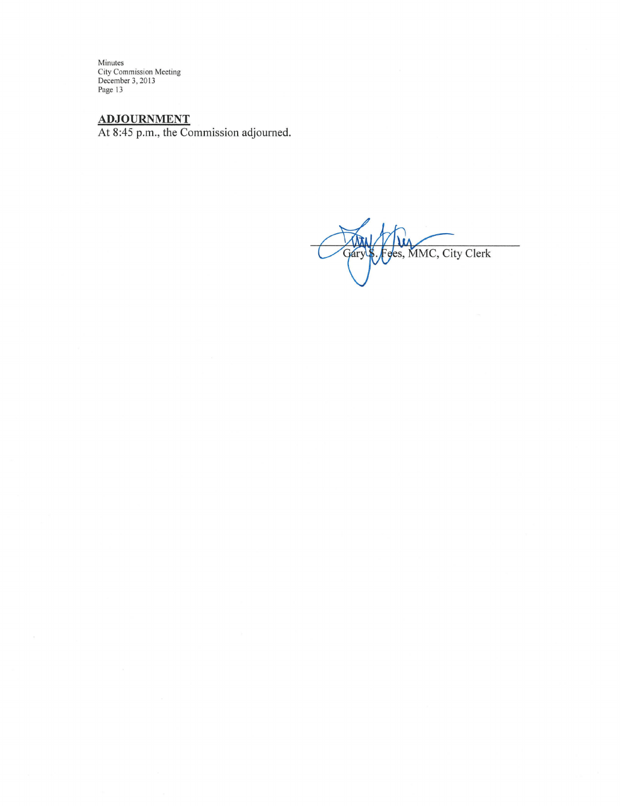Minutes<br>City Commission Meeting<br>December 3, 2013<br>Page 13

ADJOURNMENT<br>At 8:45 p.m., the Commission adjourned.

Fges, MMC, City Clerk Gary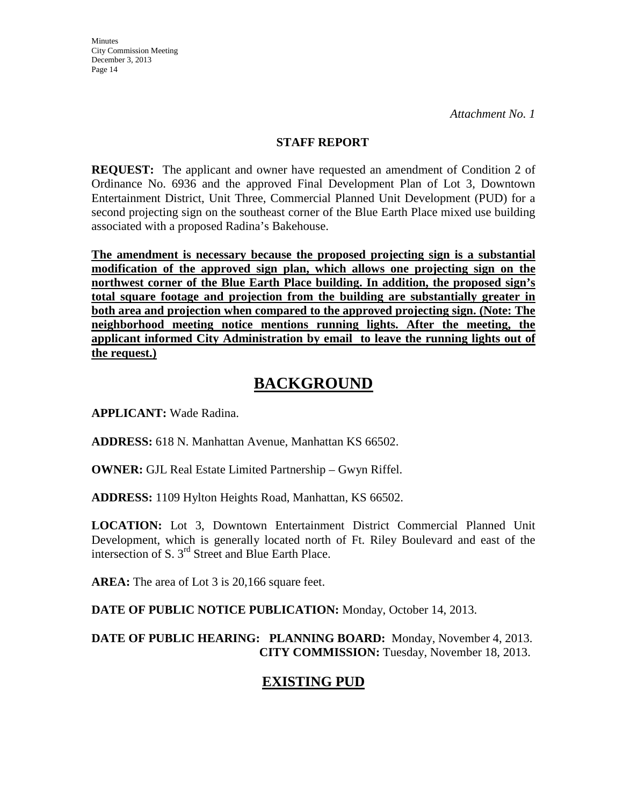# **STAFF REPORT**

**REQUEST:** The applicant and owner have requested an amendment of Condition 2 of Ordinance No. 6936 and the approved Final Development Plan of Lot 3, Downtown Entertainment District, Unit Three, Commercial Planned Unit Development (PUD) for a second projecting sign on the southeast corner of the Blue Earth Place mixed use building associated with a proposed Radina's Bakehouse.

**The amendment is necessary because the proposed projecting sign is a substantial modification of the approved sign plan, which allows one projecting sign on the northwest corner of the Blue Earth Place building. In addition, the proposed sign's total square footage and projection from the building are substantially greater in both area and projection when compared to the approved projecting sign. (Note: The neighborhood meeting notice mentions running lights. After the meeting, the applicant informed City Administration by email to leave the running lights out of the request.)**

# **BACKGROUND**

**APPLICANT:** Wade Radina.

**ADDRESS:** 618 N. Manhattan Avenue, Manhattan KS 66502.

**OWNER:** GJL Real Estate Limited Partnership – Gwyn Riffel.

**ADDRESS:** 1109 Hylton Heights Road, Manhattan, KS 66502.

**LOCATION:** Lot 3, Downtown Entertainment District Commercial Planned Unit Development, which is generally located north of Ft. Riley Boulevard and east of the intersection of S. 3rd Street and Blue Earth Place.

**AREA:** The area of Lot 3 is 20,166 square feet.

**DATE OF PUBLIC NOTICE PUBLICATION:** Monday, October 14, 2013.

**DATE OF PUBLIC HEARING: PLANNING BOARD:** Monday, November 4, 2013. **CITY COMMISSION:** Tuesday, November 18, 2013.

# **EXISTING PUD**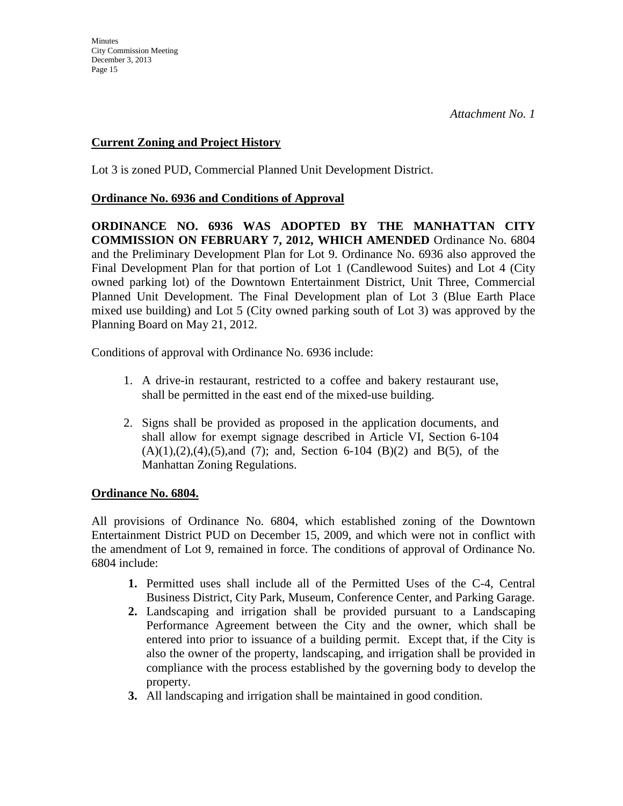# **Current Zoning and Project History**

Lot 3 is zoned PUD, Commercial Planned Unit Development District.

## **Ordinance No. 6936 and Conditions of Approval**

**ORDINANCE NO. 6936 WAS ADOPTED BY THE MANHATTAN CITY COMMISSION ON FEBRUARY 7, 2012, WHICH AMENDED** Ordinance No. 6804 and the Preliminary Development Plan for Lot 9. Ordinance No. 6936 also approved the Final Development Plan for that portion of Lot 1 (Candlewood Suites) and Lot 4 (City owned parking lot) of the Downtown Entertainment District, Unit Three, Commercial Planned Unit Development. The Final Development plan of Lot 3 (Blue Earth Place mixed use building) and Lot 5 (City owned parking south of Lot 3) was approved by the Planning Board on May 21, 2012.

Conditions of approval with Ordinance No. 6936 include:

- 1. A drive-in restaurant, restricted to a coffee and bakery restaurant use, shall be permitted in the east end of the mixed-use building.
- 2. Signs shall be provided as proposed in the application documents, and shall allow for exempt signage described in Article VI, Section 6-104  $(A)(1),(2),(4),(5)$ ,and  $(7)$ ; and, Section 6-104  $(B)(2)$  and  $B(5)$ , of the Manhattan Zoning Regulations.

# **Ordinance No. 6804.**

All provisions of Ordinance No. 6804, which established zoning of the Downtown Entertainment District PUD on December 15, 2009, and which were not in conflict with the amendment of Lot 9, remained in force. The conditions of approval of Ordinance No. 6804 include:

- **1.** Permitted uses shall include all of the Permitted Uses of the C-4, Central Business District, City Park, Museum, Conference Center, and Parking Garage.
- **2.** Landscaping and irrigation shall be provided pursuant to a Landscaping Performance Agreement between the City and the owner, which shall be entered into prior to issuance of a building permit. Except that, if the City is also the owner of the property, landscaping, and irrigation shall be provided in compliance with the process established by the governing body to develop the property.
- **3.** All landscaping and irrigation shall be maintained in good condition.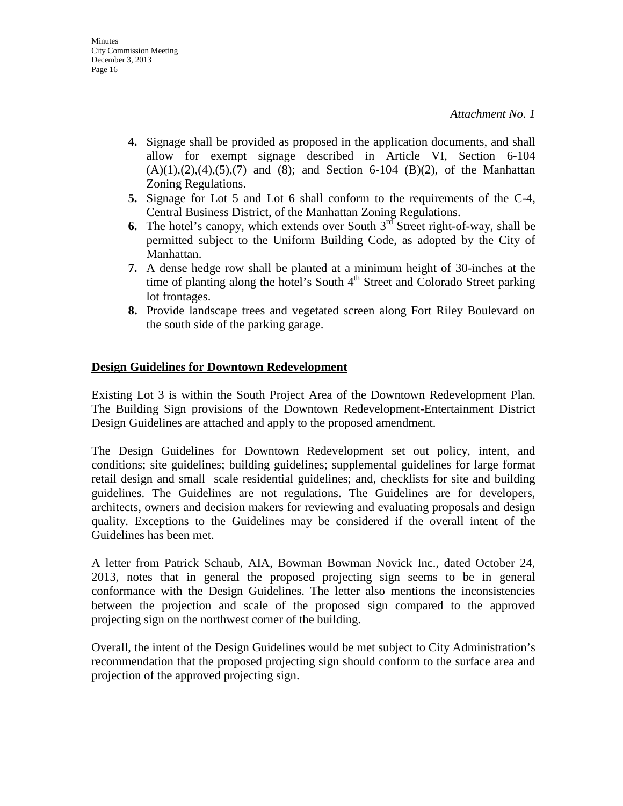- **4.** Signage shall be provided as proposed in the application documents, and shall allow for exempt signage described in Article VI, Section 6-104  $(A)(1), (2), (4), (5), (7)$  and  $(8)$ ; and Section 6-104  $(B)(2)$ , of the Manhattan Zoning Regulations.
- **5.** Signage for Lot 5 and Lot 6 shall conform to the requirements of the C-4, Central Business District, of the Manhattan Zoning Regulations.
- **6.** The hotel's canopy, which extends over South  $3<sup>rd</sup>$  Street right-of-way, shall be permitted subject to the Uniform Building Code, as adopted by the City of Manhattan.
- **7.** A dense hedge row shall be planted at a minimum height of 30-inches at the time of planting along the hotel's South  $4<sup>th</sup>$  Street and Colorado Street parking lot frontages.
- **8.** Provide landscape trees and vegetated screen along Fort Riley Boulevard on the south side of the parking garage.

# **Design Guidelines for Downtown Redevelopment**

Existing Lot 3 is within the South Project Area of the Downtown Redevelopment Plan. The Building Sign provisions of the Downtown Redevelopment-Entertainment District Design Guidelines are attached and apply to the proposed amendment.

The Design Guidelines for Downtown Redevelopment set out policy, intent, and conditions; site guidelines; building guidelines; supplemental guidelines for large format retail design and small scale residential guidelines; and, checklists for site and building guidelines. The Guidelines are not regulations. The Guidelines are for developers, architects, owners and decision makers for reviewing and evaluating proposals and design quality. Exceptions to the Guidelines may be considered if the overall intent of the Guidelines has been met.

A letter from Patrick Schaub, AIA, Bowman Bowman Novick Inc., dated October 24, 2013, notes that in general the proposed projecting sign seems to be in general conformance with the Design Guidelines. The letter also mentions the inconsistencies between the projection and scale of the proposed sign compared to the approved projecting sign on the northwest corner of the building.

Overall, the intent of the Design Guidelines would be met subject to City Administration's recommendation that the proposed projecting sign should conform to the surface area and projection of the approved projecting sign.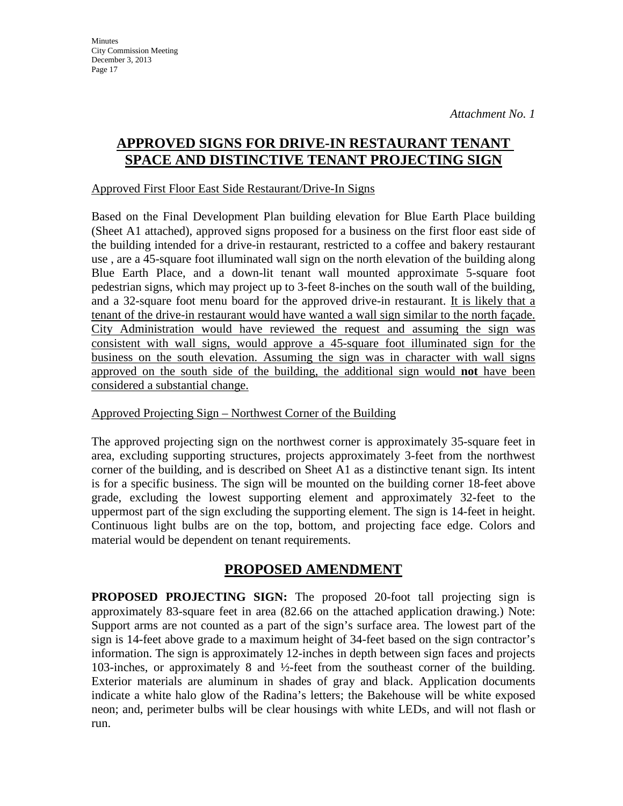# **APPROVED SIGNS FOR DRIVE-IN RESTAURANT TENANT SPACE AND DISTINCTIVE TENANT PROJECTING SIGN**

## Approved First Floor East Side Restaurant/Drive-In Signs

Based on the Final Development Plan building elevation for Blue Earth Place building (Sheet A1 attached), approved signs proposed for a business on the first floor east side of the building intended for a drive-in restaurant, restricted to a coffee and bakery restaurant use , are a 45-square foot illuminated wall sign on the north elevation of the building along Blue Earth Place, and a down-lit tenant wall mounted approximate 5-square foot pedestrian signs, which may project up to 3-feet 8-inches on the south wall of the building, and a 32-square foot menu board for the approved drive-in restaurant. It is likely that a tenant of the drive-in restaurant would have wanted a wall sign similar to the north façade. City Administration would have reviewed the request and assuming the sign was consistent with wall signs, would approve a 45-square foot illuminated sign for the business on the south elevation. Assuming the sign was in character with wall signs approved on the south side of the building, the additional sign would **not** have been considered a substantial change.

# Approved Projecting Sign – Northwest Corner of the Building

The approved projecting sign on the northwest corner is approximately 35-square feet in area, excluding supporting structures, projects approximately 3-feet from the northwest corner of the building, and is described on Sheet A1 as a distinctive tenant sign. Its intent is for a specific business. The sign will be mounted on the building corner 18-feet above grade, excluding the lowest supporting element and approximately 32-feet to the uppermost part of the sign excluding the supporting element. The sign is 14-feet in height. Continuous light bulbs are on the top, bottom, and projecting face edge. Colors and material would be dependent on tenant requirements.

# **PROPOSED AMENDMENT**

**PROPOSED PROJECTING SIGN:** The proposed 20-foot tall projecting sign is approximately 83-square feet in area (82.66 on the attached application drawing.) Note: Support arms are not counted as a part of the sign's surface area. The lowest part of the sign is 14-feet above grade to a maximum height of 34-feet based on the sign contractor's information. The sign is approximately 12-inches in depth between sign faces and projects 103-inches, or approximately 8 and ½-feet from the southeast corner of the building. Exterior materials are aluminum in shades of gray and black. Application documents indicate a white halo glow of the Radina's letters; the Bakehouse will be white exposed neon; and, perimeter bulbs will be clear housings with white LEDs, and will not flash or run.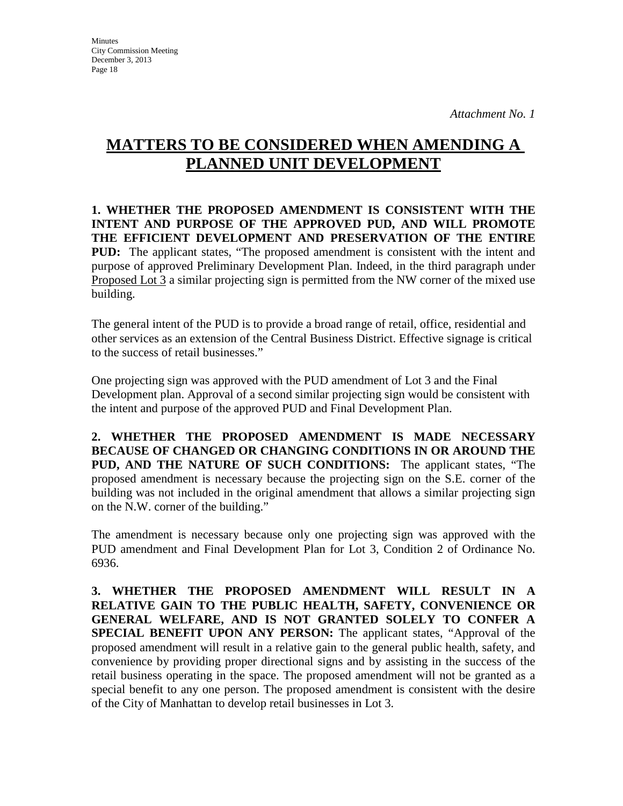# **MATTERS TO BE CONSIDERED WHEN AMENDING A PLANNED UNIT DEVELOPMENT**

**1. WHETHER THE PROPOSED AMENDMENT IS CONSISTENT WITH THE INTENT AND PURPOSE OF THE APPROVED PUD, AND WILL PROMOTE THE EFFICIENT DEVELOPMENT AND PRESERVATION OF THE ENTIRE PUD:** The applicant states, "The proposed amendment is consistent with the intent and purpose of approved Preliminary Development Plan. Indeed, in the third paragraph under Proposed Lot 3 a similar projecting sign is permitted from the NW corner of the mixed use building.

The general intent of the PUD is to provide a broad range of retail, office, residential and other services as an extension of the Central Business District. Effective signage is critical to the success of retail businesses."

One projecting sign was approved with the PUD amendment of Lot 3 and the Final Development plan. Approval of a second similar projecting sign would be consistent with the intent and purpose of the approved PUD and Final Development Plan.

**2. WHETHER THE PROPOSED AMENDMENT IS MADE NECESSARY BECAUSE OF CHANGED OR CHANGING CONDITIONS IN OR AROUND THE PUD, AND THE NATURE OF SUCH CONDITIONS:** The applicant states, "The proposed amendment is necessary because the projecting sign on the S.E. corner of the building was not included in the original amendment that allows a similar projecting sign on the N.W. corner of the building."

The amendment is necessary because only one projecting sign was approved with the PUD amendment and Final Development Plan for Lot 3, Condition 2 of Ordinance No. 6936.

**3. WHETHER THE PROPOSED AMENDMENT WILL RESULT IN A RELATIVE GAIN TO THE PUBLIC HEALTH, SAFETY, CONVENIENCE OR GENERAL WELFARE, AND IS NOT GRANTED SOLELY TO CONFER A SPECIAL BENEFIT UPON ANY PERSON:** The applicant states, "Approval of the proposed amendment will result in a relative gain to the general public health, safety, and convenience by providing proper directional signs and by assisting in the success of the retail business operating in the space. The proposed amendment will not be granted as a special benefit to any one person. The proposed amendment is consistent with the desire of the City of Manhattan to develop retail businesses in Lot 3.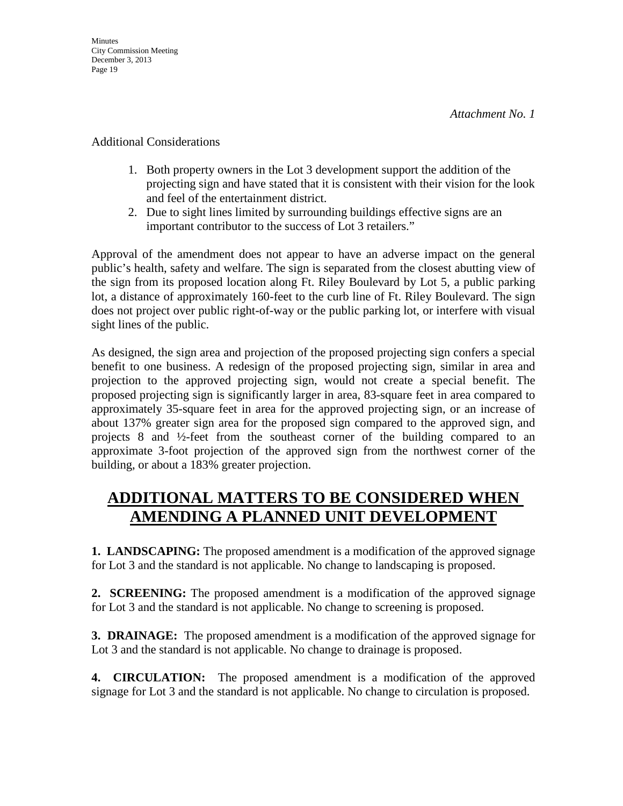Additional Considerations

- 1. Both property owners in the Lot 3 development support the addition of the projecting sign and have stated that it is consistent with their vision for the look and feel of the entertainment district.
- 2. Due to sight lines limited by surrounding buildings effective signs are an important contributor to the success of Lot 3 retailers."

Approval of the amendment does not appear to have an adverse impact on the general public's health, safety and welfare. The sign is separated from the closest abutting view of the sign from its proposed location along Ft. Riley Boulevard by Lot 5, a public parking lot, a distance of approximately 160-feet to the curb line of Ft. Riley Boulevard. The sign does not project over public right-of-way or the public parking lot, or interfere with visual sight lines of the public.

As designed, the sign area and projection of the proposed projecting sign confers a special benefit to one business. A redesign of the proposed projecting sign, similar in area and projection to the approved projecting sign, would not create a special benefit. The proposed projecting sign is significantly larger in area, 83-square feet in area compared to approximately 35-square feet in area for the approved projecting sign, or an increase of about 137% greater sign area for the proposed sign compared to the approved sign, and projects 8 and ½-feet from the southeast corner of the building compared to an approximate 3-foot projection of the approved sign from the northwest corner of the building, or about a 183% greater projection.

# **ADDITIONAL MATTERS TO BE CONSIDERED WHEN AMENDING A PLANNED UNIT DEVELOPMENT**

**1. LANDSCAPING:** The proposed amendment is a modification of the approved signage for Lot 3 and the standard is not applicable. No change to landscaping is proposed.

**2. SCREENING:** The proposed amendment is a modification of the approved signage for Lot 3 and the standard is not applicable. No change to screening is proposed.

**3. DRAINAGE:** The proposed amendment is a modification of the approved signage for Lot 3 and the standard is not applicable. No change to drainage is proposed.

**4. CIRCULATION:** The proposed amendment is a modification of the approved signage for Lot 3 and the standard is not applicable. No change to circulation is proposed.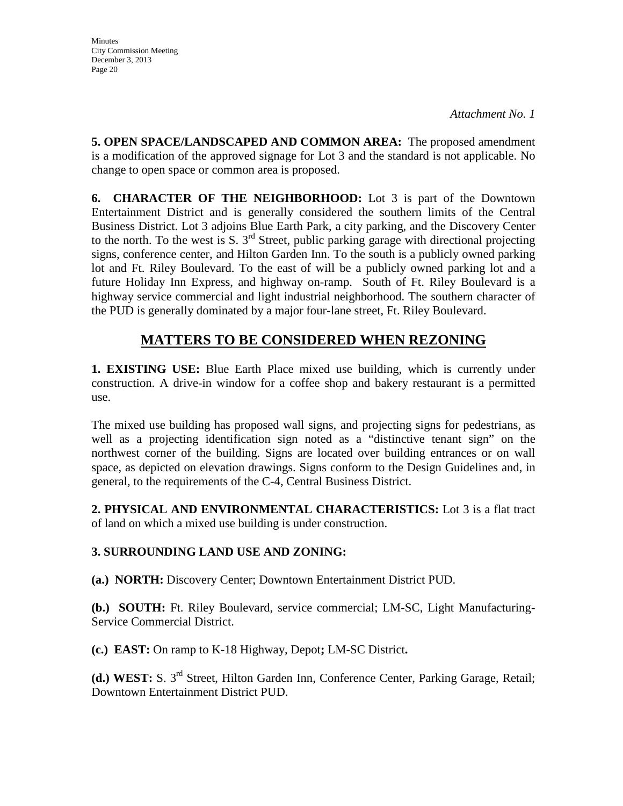**5. OPEN SPACE/LANDSCAPED AND COMMON AREA:** The proposed amendment is a modification of the approved signage for Lot 3 and the standard is not applicable. No change to open space or common area is proposed.

**6. CHARACTER OF THE NEIGHBORHOOD:** Lot 3 is part of the Downtown Entertainment District and is generally considered the southern limits of the Central Business District. Lot 3 adjoins Blue Earth Park, a city parking, and the Discovery Center to the north. To the west is S.  $3<sup>rd</sup>$  Street, public parking garage with directional projecting signs, conference center, and Hilton Garden Inn. To the south is a publicly owned parking lot and Ft. Riley Boulevard. To the east of will be a publicly owned parking lot and a future Holiday Inn Express, and highway on-ramp. South of Ft. Riley Boulevard is a highway service commercial and light industrial neighborhood. The southern character of the PUD is generally dominated by a major four-lane street, Ft. Riley Boulevard.

# **MATTERS TO BE CONSIDERED WHEN REZONING**

**1. EXISTING USE:** Blue Earth Place mixed use building, which is currently under construction. A drive-in window for a coffee shop and bakery restaurant is a permitted use.

The mixed use building has proposed wall signs, and projecting signs for pedestrians, as well as a projecting identification sign noted as a "distinctive tenant sign" on the northwest corner of the building. Signs are located over building entrances or on wall space, as depicted on elevation drawings. Signs conform to the Design Guidelines and, in general, to the requirements of the C-4, Central Business District.

**2. PHYSICAL AND ENVIRONMENTAL CHARACTERISTICS:** Lot 3 is a flat tract of land on which a mixed use building is under construction.

# **3. SURROUNDING LAND USE AND ZONING:**

**(a.) NORTH:** Discovery Center; Downtown Entertainment District PUD.

**(b.) SOUTH:** Ft. Riley Boulevard, service commercial; LM-SC, Light Manufacturing-Service Commercial District.

**(c.) EAST:** On ramp to K-18 Highway, Depot**;** LM-SC District**.**

**(d.) WEST:** S. 3rd Street, Hilton Garden Inn, Conference Center, Parking Garage, Retail; Downtown Entertainment District PUD.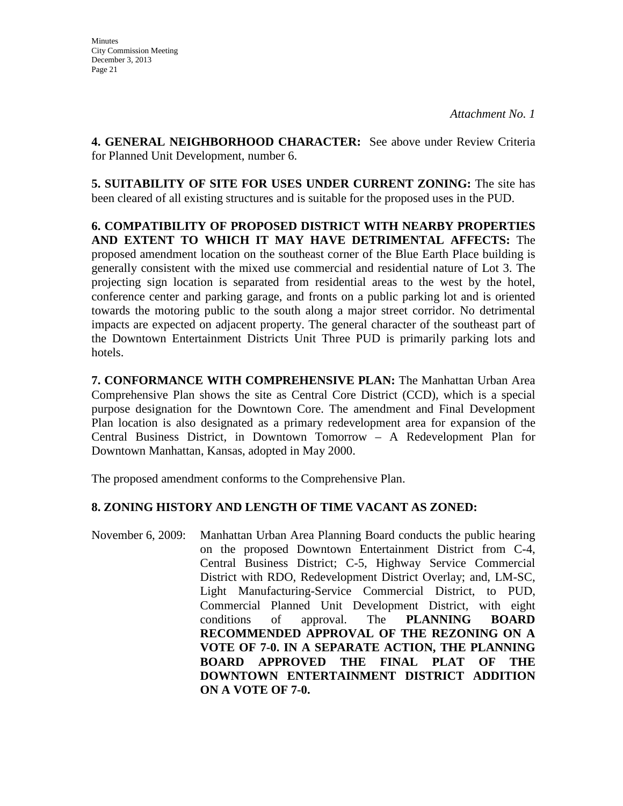**4. GENERAL NEIGHBORHOOD CHARACTER:** See above under Review Criteria for Planned Unit Development, number 6.

**5. SUITABILITY OF SITE FOR USES UNDER CURRENT ZONING:** The site has been cleared of all existing structures and is suitable for the proposed uses in the PUD.

**6. COMPATIBILITY OF PROPOSED DISTRICT WITH NEARBY PROPERTIES AND EXTENT TO WHICH IT MAY HAVE DETRIMENTAL AFFECTS:** The proposed amendment location on the southeast corner of the Blue Earth Place building is generally consistent with the mixed use commercial and residential nature of Lot 3. The projecting sign location is separated from residential areas to the west by the hotel, conference center and parking garage, and fronts on a public parking lot and is oriented towards the motoring public to the south along a major street corridor. No detrimental impacts are expected on adjacent property. The general character of the southeast part of the Downtown Entertainment Districts Unit Three PUD is primarily parking lots and hotels.

**7. CONFORMANCE WITH COMPREHENSIVE PLAN:** The Manhattan Urban Area Comprehensive Plan shows the site as Central Core District (CCD), which is a special purpose designation for the Downtown Core. The amendment and Final Development Plan location is also designated as a primary redevelopment area for expansion of the Central Business District, in Downtown Tomorrow – A Redevelopment Plan for Downtown Manhattan, Kansas, adopted in May 2000.

The proposed amendment conforms to the Comprehensive Plan.

# **8. ZONING HISTORY AND LENGTH OF TIME VACANT AS ZONED:**

November 6, 2009: Manhattan Urban Area Planning Board conducts the public hearing on the proposed Downtown Entertainment District from C-4, Central Business District; C-5, Highway Service Commercial District with RDO, Redevelopment District Overlay; and, LM-SC, Light Manufacturing-Service Commercial District, to PUD, Commercial Planned Unit Development District, with eight conditions of approval. The **PLANNING BOARD RECOMMENDED APPROVAL OF THE REZONING ON A VOTE OF 7-0. IN A SEPARATE ACTION, THE PLANNING BOARD APPROVED THE FINAL PLAT OF THE DOWNTOWN ENTERTAINMENT DISTRICT ADDITION ON A VOTE OF 7-0.**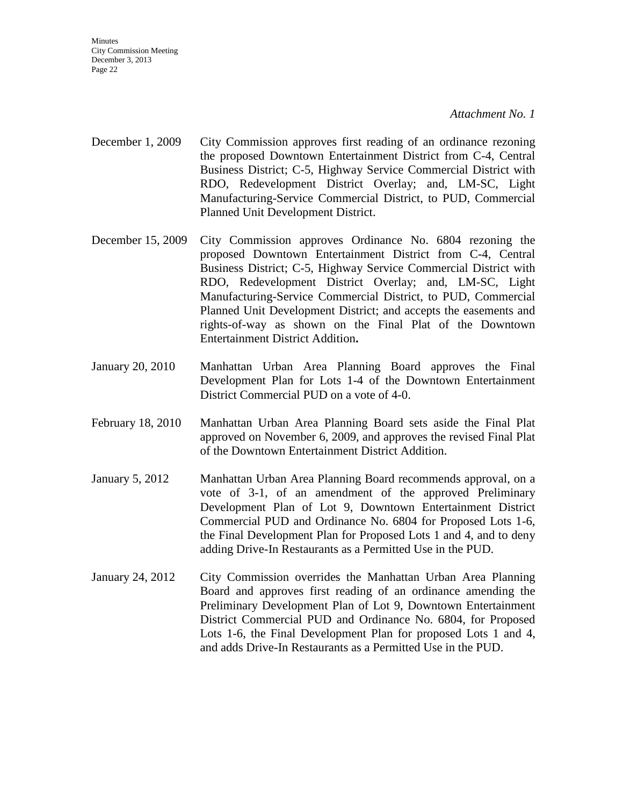December 3, 2013 Page 22

City Commission Meeting

**Minutes** 

*Attachment No. 1*

- December 1, 2009 City Commission approves first reading of an ordinance rezoning the proposed Downtown Entertainment District from C-4, Central Business District; C-5, Highway Service Commercial District with RDO, Redevelopment District Overlay; and, LM-SC, Light Manufacturing-Service Commercial District, to PUD, Commercial Planned Unit Development District.
- December 15, 2009 City Commission approves Ordinance No. 6804 rezoning the proposed Downtown Entertainment District from C-4, Central Business District; C-5, Highway Service Commercial District with RDO, Redevelopment District Overlay; and, LM-SC, Light Manufacturing-Service Commercial District, to PUD, Commercial Planned Unit Development District; and accepts the easements and rights-of-way as shown on the Final Plat of the Downtown Entertainment District Addition**.**
- January 20, 2010 Manhattan Urban Area Planning Board approves the Final Development Plan for Lots 1-4 of the Downtown Entertainment District Commercial PUD on a vote of 4-0.
- February 18, 2010 Manhattan Urban Area Planning Board sets aside the Final Plat approved on November 6, 2009, and approves the revised Final Plat of the Downtown Entertainment District Addition.
- January 5, 2012 Manhattan Urban Area Planning Board recommends approval, on a vote of 3-1, of an amendment of the approved Preliminary Development Plan of Lot 9, Downtown Entertainment District Commercial PUD and Ordinance No. 6804 for Proposed Lots 1-6, the Final Development Plan for Proposed Lots 1 and 4, and to deny adding Drive-In Restaurants as a Permitted Use in the PUD.
- January 24, 2012 City Commission overrides the Manhattan Urban Area Planning Board and approves first reading of an ordinance amending the Preliminary Development Plan of Lot 9, Downtown Entertainment District Commercial PUD and Ordinance No. 6804, for Proposed Lots 1-6, the Final Development Plan for proposed Lots 1 and 4, and adds Drive-In Restaurants as a Permitted Use in the PUD.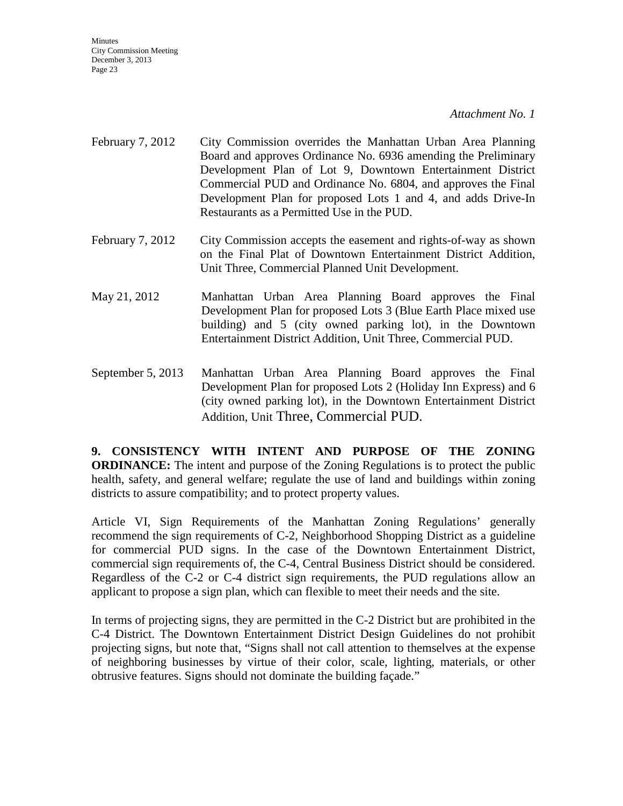**Minutes** City Commission Meeting December 3, 2013 Page 23

*Attachment No. 1*

- February 7, 2012 City Commission overrides the Manhattan Urban Area Planning Board and approves Ordinance No. 6936 amending the Preliminary Development Plan of Lot 9, Downtown Entertainment District Commercial PUD and Ordinance No. 6804, and approves the Final Development Plan for proposed Lots 1 and 4, and adds Drive-In Restaurants as a Permitted Use in the PUD.
- February 7, 2012 City Commission accepts the easement and rights-of-way as shown on the Final Plat of Downtown Entertainment District Addition, Unit Three, Commercial Planned Unit Development.
- May 21, 2012 Manhattan Urban Area Planning Board approves the Final Development Plan for proposed Lots 3 (Blue Earth Place mixed use building) and 5 (city owned parking lot), in the Downtown Entertainment District Addition, Unit Three, Commercial PUD.
- September 5, 2013 Manhattan Urban Area Planning Board approves the Final Development Plan for proposed Lots 2 (Holiday Inn Express) and 6 (city owned parking lot), in the Downtown Entertainment District Addition, Unit Three, Commercial PUD.

**9. CONSISTENCY WITH INTENT AND PURPOSE OF THE ZONING ORDINANCE:** The intent and purpose of the Zoning Regulations is to protect the public health, safety, and general welfare; regulate the use of land and buildings within zoning districts to assure compatibility; and to protect property values.

Article VI, Sign Requirements of the Manhattan Zoning Regulations' generally recommend the sign requirements of C-2, Neighborhood Shopping District as a guideline for commercial PUD signs. In the case of the Downtown Entertainment District, commercial sign requirements of, the C-4, Central Business District should be considered. Regardless of the C-2 or C-4 district sign requirements, the PUD regulations allow an applicant to propose a sign plan, which can flexible to meet their needs and the site.

In terms of projecting signs, they are permitted in the C-2 District but are prohibited in the C-4 District. The Downtown Entertainment District Design Guidelines do not prohibit projecting signs, but note that, "Signs shall not call attention to themselves at the expense of neighboring businesses by virtue of their color, scale, lighting, materials, or other obtrusive features. Signs should not dominate the building façade."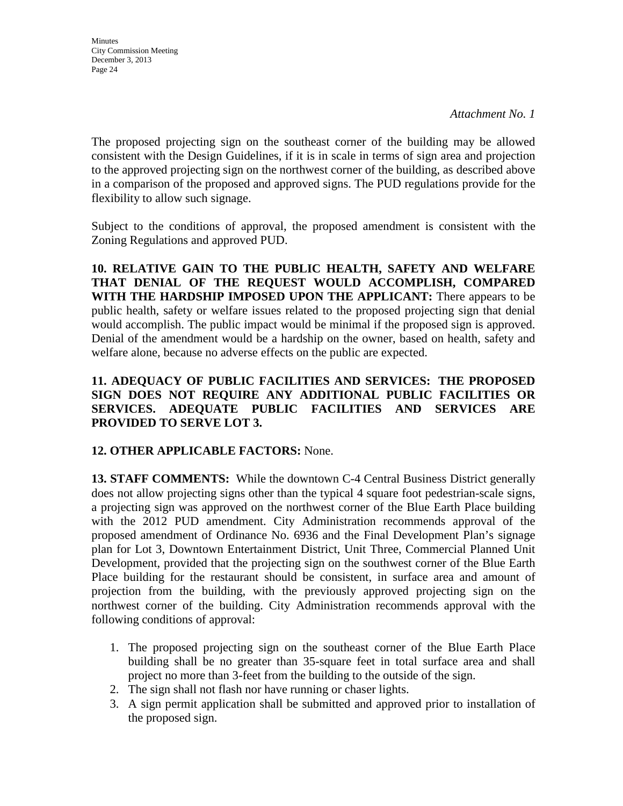**Minutes** City Commission Meeting December 3, 2013 Page 24

The proposed projecting sign on the southeast corner of the building may be allowed consistent with the Design Guidelines, if it is in scale in terms of sign area and projection to the approved projecting sign on the northwest corner of the building, as described above in a comparison of the proposed and approved signs. The PUD regulations provide for the flexibility to allow such signage.

Subject to the conditions of approval, the proposed amendment is consistent with the Zoning Regulations and approved PUD.

**10. RELATIVE GAIN TO THE PUBLIC HEALTH, SAFETY AND WELFARE THAT DENIAL OF THE REQUEST WOULD ACCOMPLISH, COMPARED WITH THE HARDSHIP IMPOSED UPON THE APPLICANT:** There appears to be public health, safety or welfare issues related to the proposed projecting sign that denial would accomplish. The public impact would be minimal if the proposed sign is approved. Denial of the amendment would be a hardship on the owner, based on health, safety and welfare alone, because no adverse effects on the public are expected.

# **11. ADEQUACY OF PUBLIC FACILITIES AND SERVICES: THE PROPOSED SIGN DOES NOT REQUIRE ANY ADDITIONAL PUBLIC FACILITIES OR SERVICES. ADEQUATE PUBLIC FACILITIES AND SERVICES ARE PROVIDED TO SERVE LOT 3.**

# **12. OTHER APPLICABLE FACTORS:** None.

**13. STAFF COMMENTS:** While the downtown C-4 Central Business District generally does not allow projecting signs other than the typical 4 square foot pedestrian-scale signs, a projecting sign was approved on the northwest corner of the Blue Earth Place building with the 2012 PUD amendment. City Administration recommends approval of the proposed amendment of Ordinance No. 6936 and the Final Development Plan's signage plan for Lot 3, Downtown Entertainment District, Unit Three, Commercial Planned Unit Development, provided that the projecting sign on the southwest corner of the Blue Earth Place building for the restaurant should be consistent, in surface area and amount of projection from the building, with the previously approved projecting sign on the northwest corner of the building. City Administration recommends approval with the following conditions of approval:

- 1. The proposed projecting sign on the southeast corner of the Blue Earth Place building shall be no greater than 35-square feet in total surface area and shall project no more than 3-feet from the building to the outside of the sign.
- 2. The sign shall not flash nor have running or chaser lights.
- 3. A sign permit application shall be submitted and approved prior to installation of the proposed sign.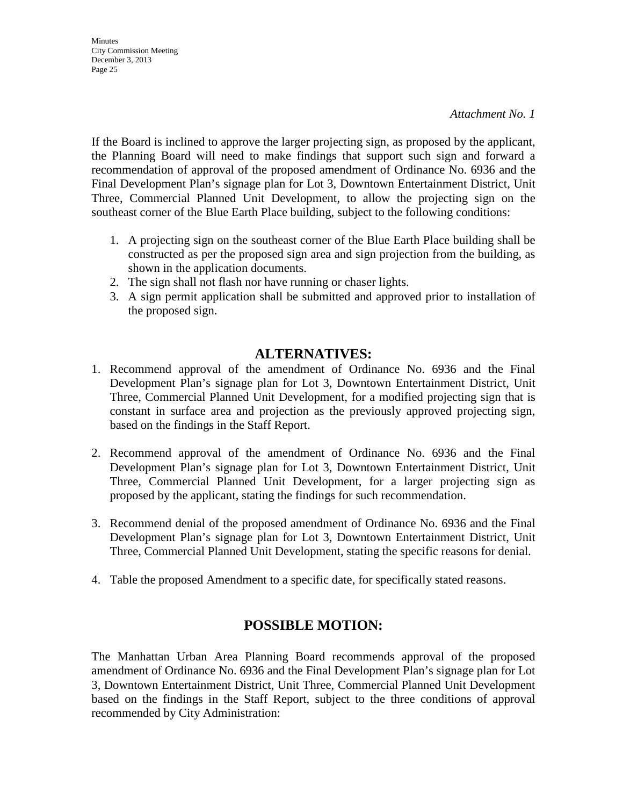**Minutes** City Commission Meeting December 3, 2013 Page 25

If the Board is inclined to approve the larger projecting sign, as proposed by the applicant, the Planning Board will need to make findings that support such sign and forward a recommendation of approval of the proposed amendment of Ordinance No. 6936 and the Final Development Plan's signage plan for Lot 3, Downtown Entertainment District, Unit Three, Commercial Planned Unit Development, to allow the projecting sign on the southeast corner of the Blue Earth Place building, subject to the following conditions:

- 1. A projecting sign on the southeast corner of the Blue Earth Place building shall be constructed as per the proposed sign area and sign projection from the building, as shown in the application documents.
- 2. The sign shall not flash nor have running or chaser lights.
- 3. A sign permit application shall be submitted and approved prior to installation of the proposed sign.

# **ALTERNATIVES:**

- 1. Recommend approval of the amendment of Ordinance No. 6936 and the Final Development Plan's signage plan for Lot 3, Downtown Entertainment District, Unit Three, Commercial Planned Unit Development, for a modified projecting sign that is constant in surface area and projection as the previously approved projecting sign, based on the findings in the Staff Report.
- 2. Recommend approval of the amendment of Ordinance No. 6936 and the Final Development Plan's signage plan for Lot 3, Downtown Entertainment District, Unit Three, Commercial Planned Unit Development, for a larger projecting sign as proposed by the applicant, stating the findings for such recommendation.
- 3. Recommend denial of the proposed amendment of Ordinance No. 6936 and the Final Development Plan's signage plan for Lot 3, Downtown Entertainment District, Unit Three, Commercial Planned Unit Development, stating the specific reasons for denial.
- 4. Table the proposed Amendment to a specific date, for specifically stated reasons.

# **POSSIBLE MOTION:**

The Manhattan Urban Area Planning Board recommends approval of the proposed amendment of Ordinance No. 6936 and the Final Development Plan's signage plan for Lot 3, Downtown Entertainment District, Unit Three, Commercial Planned Unit Development based on the findings in the Staff Report, subject to the three conditions of approval recommended by City Administration: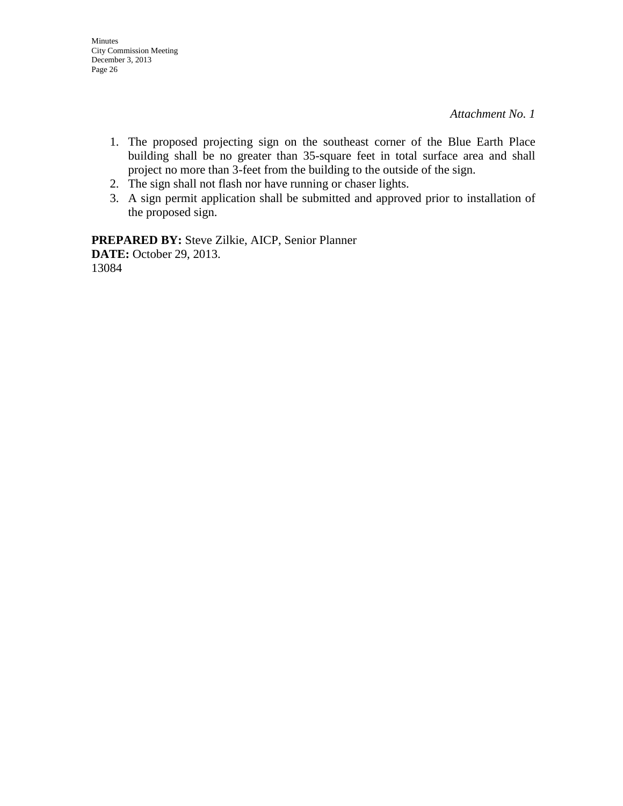- 1. The proposed projecting sign on the southeast corner of the Blue Earth Place building shall be no greater than 35-square feet in total surface area and shall project no more than 3-feet from the building to the outside of the sign.
- 2. The sign shall not flash nor have running or chaser lights.
- 3. A sign permit application shall be submitted and approved prior to installation of the proposed sign.

**PREPARED BY:** Steve Zilkie, AICP, Senior Planner **DATE:** October 29, 2013. 13084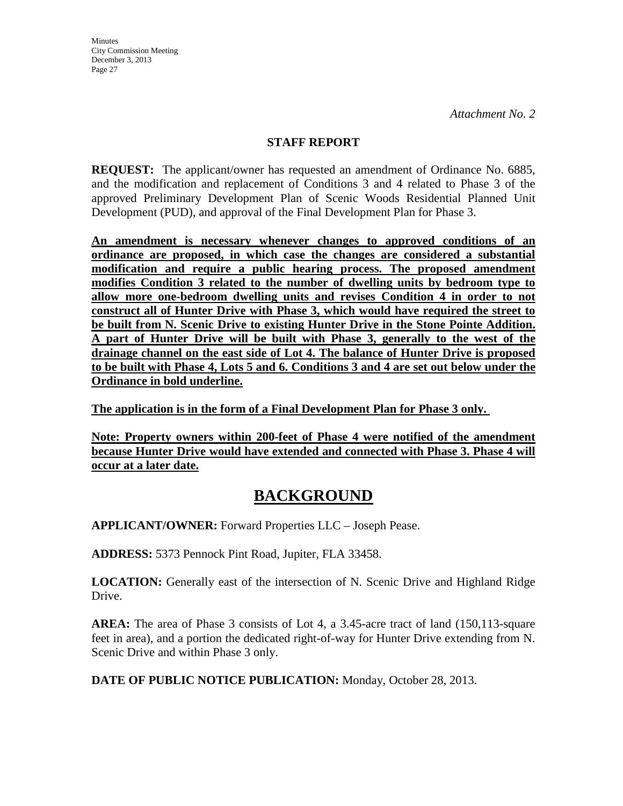## **STAFF REPORT**

**REQUEST:** The applicant/owner has requested an amendment of Ordinance No. 6885, and the modification and replacement of Conditions 3 and 4 related to Phase 3 of the approved Preliminary Development Plan of Scenic Woods Residential Planned Unit Development (PUD), and approval of the Final Development Plan for Phase 3.

**An amendment is necessary whenever changes to approved conditions of an ordinance are proposed, in which case the changes are considered a substantial modification and require a public hearing process. The proposed amendment modifies Condition 3 related to the number of dwelling units by bedroom type to allow more one-bedroom dwelling units and revises Condition 4 in order to not construct all of Hunter Drive with Phase 3, which would have required the street to be built from N. Scenic Drive to existing Hunter Drive in the Stone Pointe Addition. A part of Hunter Drive will be built with Phase 3, generally to the west of the drainage channel on the east side of Lot 4. The balance of Hunter Drive is proposed to be built with Phase 4, Lots 5 and 6. Conditions 3 and 4 are set out below under the Ordinance in bold underline.**

**The application is in the form of a Final Development Plan for Phase 3 only.** 

**Note: Property owners within 200-feet of Phase 4 were notified of the amendment because Hunter Drive would have extended and connected with Phase 3. Phase 4 will occur at a later date.**

# **BACKGROUND**

**APPLICANT/OWNER:** Forward Properties LLC – Joseph Pease.

**ADDRESS:** 5373 Pennock Pint Road, Jupiter, FLA 33458.

**LOCATION:** Generally east of the intersection of N. Scenic Drive and Highland Ridge Drive.

**AREA:** The area of Phase 3 consists of Lot 4, a 3.45-acre tract of land (150,113-square) feet in area), and a portion the dedicated right-of-way for Hunter Drive extending from N. Scenic Drive and within Phase 3 only.

**DATE OF PUBLIC NOTICE PUBLICATION:** Monday, October 28, 2013.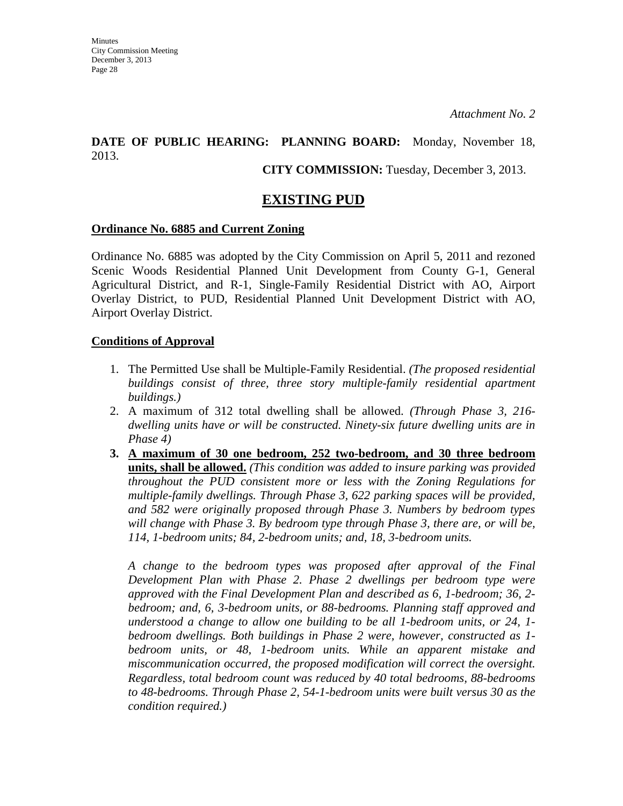# **DATE OF PUBLIC HEARING: PLANNING BOARD:** Monday, November 18, 2013.

### **CITY COMMISSION:** Tuesday, December 3, 2013.

# **EXISTING PUD**

### **Ordinance No. 6885 and Current Zoning**

Ordinance No. 6885 was adopted by the City Commission on April 5, 2011 and rezoned Scenic Woods Residential Planned Unit Development from County G-1, General Agricultural District, and R-1, Single-Family Residential District with AO, Airport Overlay District, to PUD, Residential Planned Unit Development District with AO, Airport Overlay District.

### **Conditions of Approval**

- 1. The Permitted Use shall be Multiple-Family Residential. *(The proposed residential buildings consist of three, three story multiple-family residential apartment buildings.)*
- 2. A maximum of 312 total dwelling shall be allowed. *(Through Phase 3, 216 dwelling units have or will be constructed. Ninety-six future dwelling units are in Phase 4)*
- **3. A maximum of 30 one bedroom, 252 two-bedroom, and 30 three bedroom units, shall be allowed.** *(This condition was added to insure parking was provided throughout the PUD consistent more or less with the Zoning Regulations for multiple-family dwellings. Through Phase 3, 622 parking spaces will be provided, and 582 were originally proposed through Phase 3. Numbers by bedroom types will change with Phase 3. By bedroom type through Phase 3, there are, or will be, 114, 1-bedroom units; 84, 2-bedroom units; and, 18, 3-bedroom units.*

*A change to the bedroom types was proposed after approval of the Final Development Plan with Phase 2. Phase 2 dwellings per bedroom type were approved with the Final Development Plan and described as 6, 1-bedroom; 36, 2 bedroom; and, 6, 3-bedroom units, or 88-bedrooms. Planning staff approved and understood a change to allow one building to be all 1-bedroom units, or 24, 1 bedroom dwellings. Both buildings in Phase 2 were, however, constructed as 1 bedroom units, or 48, 1-bedroom units. While an apparent mistake and miscommunication occurred, the proposed modification will correct the oversight. Regardless, total bedroom count was reduced by 40 total bedrooms, 88-bedrooms to 48-bedrooms. Through Phase 2, 54-1-bedroom units were built versus 30 as the condition required.)*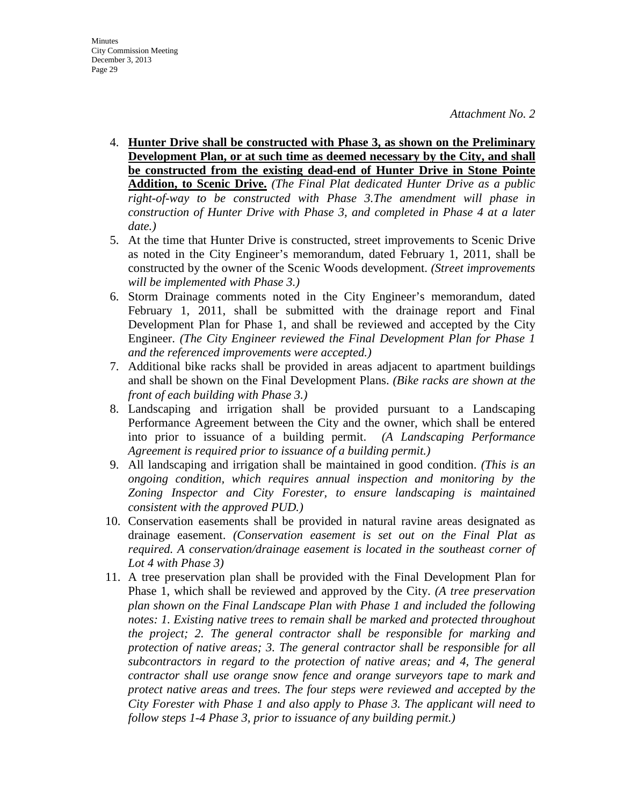- 4. **Hunter Drive shall be constructed with Phase 3, as shown on the Preliminary Development Plan, or at such time as deemed necessary by the City, and shall be constructed from the existing dead-end of Hunter Drive in Stone Pointe Addition, to Scenic Drive.** *(The Final Plat dedicated Hunter Drive as a public right-of-way to be constructed with Phase 3.The amendment will phase in construction of Hunter Drive with Phase 3, and completed in Phase 4 at a later date.)*
- 5. At the time that Hunter Drive is constructed, street improvements to Scenic Drive as noted in the City Engineer's memorandum, dated February 1, 2011, shall be constructed by the owner of the Scenic Woods development. *(Street improvements will be implemented with Phase 3.)*
- 6. Storm Drainage comments noted in the City Engineer's memorandum, dated February 1, 2011, shall be submitted with the drainage report and Final Development Plan for Phase 1, and shall be reviewed and accepted by the City Engineer. *(The City Engineer reviewed the Final Development Plan for Phase 1 and the referenced improvements were accepted.)*
- 7. Additional bike racks shall be provided in areas adjacent to apartment buildings and shall be shown on the Final Development Plans. *(Bike racks are shown at the front of each building with Phase 3.)*
- 8. Landscaping and irrigation shall be provided pursuant to a Landscaping Performance Agreement between the City and the owner, which shall be entered into prior to issuance of a building permit. *(A Landscaping Performance Agreement is required prior to issuance of a building permit.)*
- 9. All landscaping and irrigation shall be maintained in good condition. *(This is an ongoing condition, which requires annual inspection and monitoring by the Zoning Inspector and City Forester, to ensure landscaping is maintained consistent with the approved PUD.)*
- 10. Conservation easements shall be provided in natural ravine areas designated as drainage easement. *(Conservation easement is set out on the Final Plat as required. A conservation/drainage easement is located in the southeast corner of Lot 4 with Phase 3)*
- 11. A tree preservation plan shall be provided with the Final Development Plan for Phase 1, which shall be reviewed and approved by the City. *(A tree preservation plan shown on the Final Landscape Plan with Phase 1 and included the following notes: 1. Existing native trees to remain shall be marked and protected throughout the project; 2. The general contractor shall be responsible for marking and protection of native areas; 3. The general contractor shall be responsible for all subcontractors in regard to the protection of native areas; and 4, The general contractor shall use orange snow fence and orange surveyors tape to mark and protect native areas and trees. The four steps were reviewed and accepted by the City Forester with Phase 1 and also apply to Phase 3. The applicant will need to follow steps 1-4 Phase 3, prior to issuance of any building permit.)*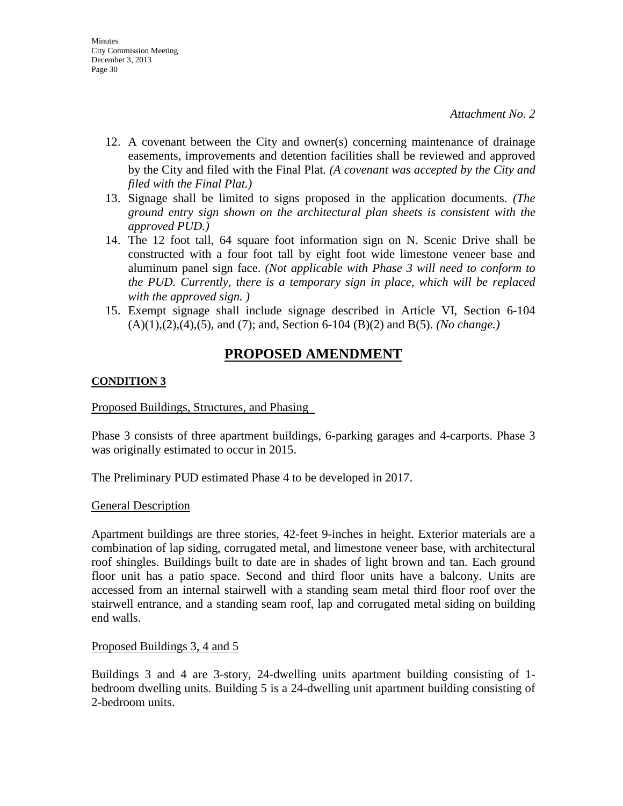- 12. A covenant between the City and owner(s) concerning maintenance of drainage easements, improvements and detention facilities shall be reviewed and approved by the City and filed with the Final Plat*. (A covenant was accepted by the City and filed with the Final Plat.)*
- 13. Signage shall be limited to signs proposed in the application documents. *(The ground entry sign shown on the architectural plan sheets is consistent with the approved PUD.)*
- 14. The 12 foot tall, 64 square foot information sign on N. Scenic Drive shall be constructed with a four foot tall by eight foot wide limestone veneer base and aluminum panel sign face. *(Not applicable with Phase 3 will need to conform to the PUD. Currently, there is a temporary sign in place, which will be replaced with the approved sign. )*
- 15. Exempt signage shall include signage described in Article VI, Section 6-104 (A)(1),(2),(4),(5), and (7); and, Section 6-104 (B)(2) and B(5). *(No change.)*

# **PROPOSED AMENDMENT**

## **CONDITION 3**

### Proposed Buildings, Structures, and Phasing

Phase 3 consists of three apartment buildings, 6-parking garages and 4-carports. Phase 3 was originally estimated to occur in 2015.

The Preliminary PUD estimated Phase 4 to be developed in 2017.

### General Description

Apartment buildings are three stories, 42-feet 9-inches in height. Exterior materials are a combination of lap siding, corrugated metal, and limestone veneer base, with architectural roof shingles. Buildings built to date are in shades of light brown and tan. Each ground floor unit has a patio space. Second and third floor units have a balcony. Units are accessed from an internal stairwell with a standing seam metal third floor roof over the stairwell entrance, and a standing seam roof, lap and corrugated metal siding on building end walls.

### Proposed Buildings 3, 4 and 5

Buildings 3 and 4 are 3-story, 24-dwelling units apartment building consisting of 1 bedroom dwelling units. Building 5 is a 24-dwelling unit apartment building consisting of 2-bedroom units.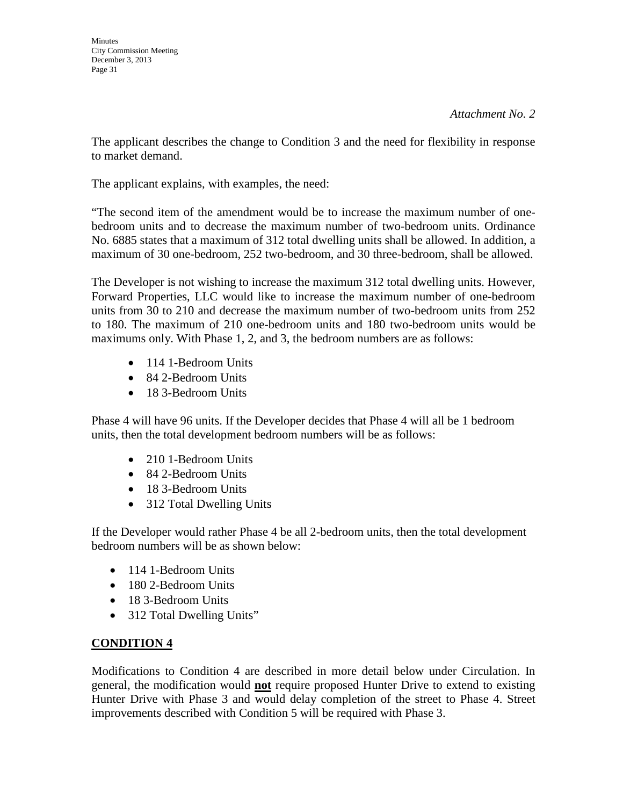The applicant describes the change to Condition 3 and the need for flexibility in response to market demand.

The applicant explains, with examples, the need:

"The second item of the amendment would be to increase the maximum number of onebedroom units and to decrease the maximum number of two-bedroom units. Ordinance No. 6885 states that a maximum of 312 total dwelling units shall be allowed. In addition, a maximum of 30 one-bedroom, 252 two-bedroom, and 30 three-bedroom, shall be allowed.

The Developer is not wishing to increase the maximum 312 total dwelling units. However, Forward Properties, LLC would like to increase the maximum number of one-bedroom units from 30 to 210 and decrease the maximum number of two-bedroom units from 252 to 180. The maximum of 210 one-bedroom units and 180 two-bedroom units would be maximums only. With Phase 1, 2, and 3, the bedroom numbers are as follows:

- 114 1-Bedroom Units
- 84 2-Bedroom Units
- 18 3-Bedroom Units

Phase 4 will have 96 units. If the Developer decides that Phase 4 will all be 1 bedroom units, then the total development bedroom numbers will be as follows:

- 210 1-Bedroom Units
- 84 2-Bedroom Units
- 18 3-Bedroom Units
- 312 Total Dwelling Units

If the Developer would rather Phase 4 be all 2-bedroom units, then the total development bedroom numbers will be as shown below:

- 114 1-Bedroom Units
- 180 2-Bedroom Units
- 18 3-Bedroom Units
- 312 Total Dwelling Units"

# **CONDITION 4**

Modifications to Condition 4 are described in more detail below under Circulation. In general, the modification would **not** require proposed Hunter Drive to extend to existing Hunter Drive with Phase 3 and would delay completion of the street to Phase 4. Street improvements described with Condition 5 will be required with Phase 3.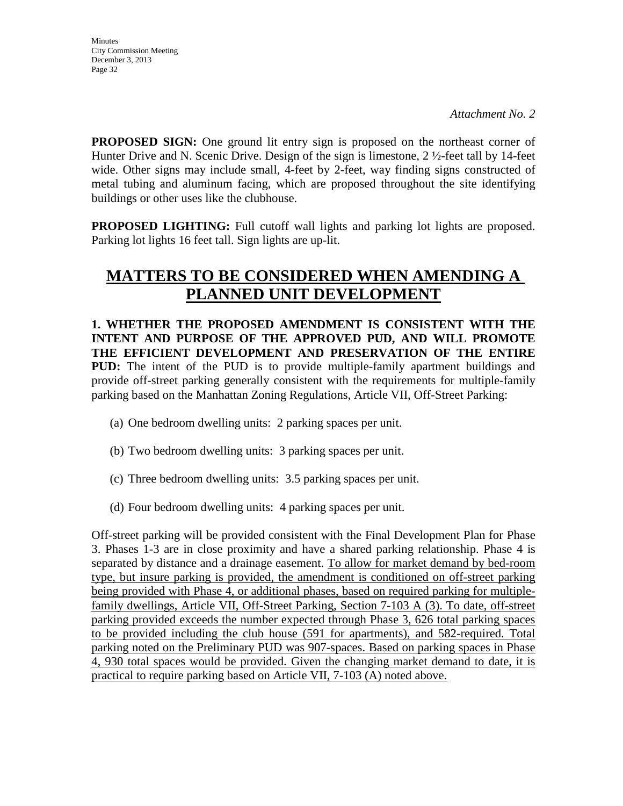**PROPOSED SIGN:** One ground lit entry sign is proposed on the northeast corner of Hunter Drive and N. Scenic Drive. Design of the sign is limestone, 2 ½-feet tall by 14-feet wide. Other signs may include small, 4-feet by 2-feet, way finding signs constructed of metal tubing and aluminum facing, which are proposed throughout the site identifying buildings or other uses like the clubhouse.

**PROPOSED LIGHTING:** Full cutoff wall lights and parking lot lights are proposed. Parking lot lights 16 feet tall. Sign lights are up-lit.

# **MATTERS TO BE CONSIDERED WHEN AMENDING A PLANNED UNIT DEVELOPMENT**

**1. WHETHER THE PROPOSED AMENDMENT IS CONSISTENT WITH THE INTENT AND PURPOSE OF THE APPROVED PUD, AND WILL PROMOTE THE EFFICIENT DEVELOPMENT AND PRESERVATION OF THE ENTIRE PUD:** The intent of the PUD is to provide multiple-family apartment buildings and provide off-street parking generally consistent with the requirements for multiple-family parking based on the Manhattan Zoning Regulations, Article VII, Off-Street Parking:

- (a) One bedroom dwelling units: 2 parking spaces per unit.
- (b) Two bedroom dwelling units: 3 parking spaces per unit.
- (c) Three bedroom dwelling units: 3.5 parking spaces per unit.
- (d) Four bedroom dwelling units: 4 parking spaces per unit.

Off-street parking will be provided consistent with the Final Development Plan for Phase 3. Phases 1-3 are in close proximity and have a shared parking relationship. Phase 4 is separated by distance and a drainage easement. To allow for market demand by bed-room type, but insure parking is provided, the amendment is conditioned on off-street parking being provided with Phase 4, or additional phases, based on required parking for multiplefamily dwellings, Article VII, Off-Street Parking, Section 7-103 A (3). To date, off-street parking provided exceeds the number expected through Phase 3, 626 total parking spaces to be provided including the club house (591 for apartments), and 582-required. Total parking noted on the Preliminary PUD was 907-spaces. Based on parking spaces in Phase 4, 930 total spaces would be provided. Given the changing market demand to date, it is practical to require parking based on Article VII, 7-103 (A) noted above.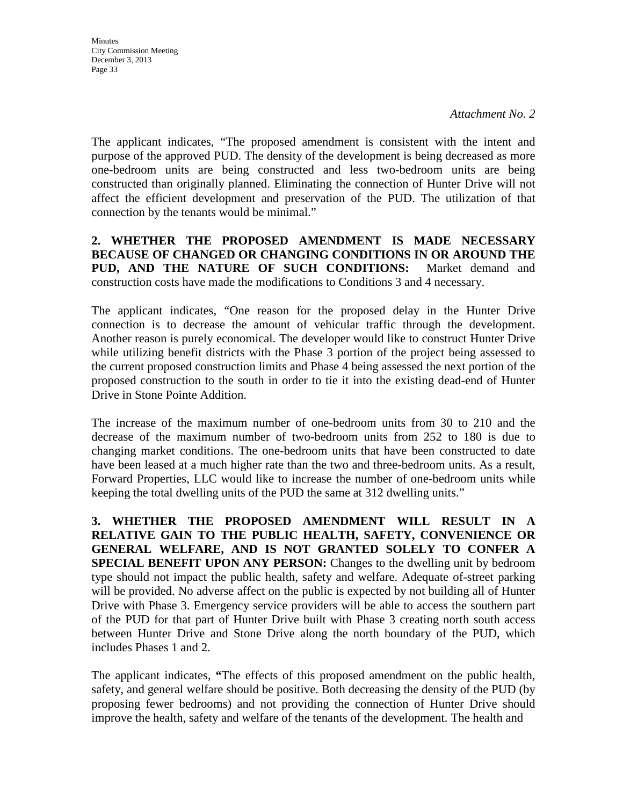**Minutes** City Commission Meeting December 3, 2013 Page 33

The applicant indicates, "The proposed amendment is consistent with the intent and purpose of the approved PUD. The density of the development is being decreased as more one-bedroom units are being constructed and less two-bedroom units are being constructed than originally planned. Eliminating the connection of Hunter Drive will not affect the efficient development and preservation of the PUD. The utilization of that connection by the tenants would be minimal."

## **2. WHETHER THE PROPOSED AMENDMENT IS MADE NECESSARY BECAUSE OF CHANGED OR CHANGING CONDITIONS IN OR AROUND THE PUD, AND THE NATURE OF SUCH CONDITIONS:** Market demand and construction costs have made the modifications to Conditions 3 and 4 necessary.

The applicant indicates, "One reason for the proposed delay in the Hunter Drive connection is to decrease the amount of vehicular traffic through the development. Another reason is purely economical. The developer would like to construct Hunter Drive while utilizing benefit districts with the Phase 3 portion of the project being assessed to the current proposed construction limits and Phase 4 being assessed the next portion of the proposed construction to the south in order to tie it into the existing dead-end of Hunter Drive in Stone Pointe Addition.

The increase of the maximum number of one-bedroom units from 30 to 210 and the decrease of the maximum number of two-bedroom units from 252 to 180 is due to changing market conditions. The one-bedroom units that have been constructed to date have been leased at a much higher rate than the two and three-bedroom units. As a result, Forward Properties, LLC would like to increase the number of one-bedroom units while keeping the total dwelling units of the PUD the same at 312 dwelling units."

**3. WHETHER THE PROPOSED AMENDMENT WILL RESULT IN A RELATIVE GAIN TO THE PUBLIC HEALTH, SAFETY, CONVENIENCE OR GENERAL WELFARE, AND IS NOT GRANTED SOLELY TO CONFER A SPECIAL BENEFIT UPON ANY PERSON:** Changes to the dwelling unit by bedroom type should not impact the public health, safety and welfare. Adequate of-street parking will be provided. No adverse affect on the public is expected by not building all of Hunter Drive with Phase 3. Emergency service providers will be able to access the southern part of the PUD for that part of Hunter Drive built with Phase 3 creating north south access between Hunter Drive and Stone Drive along the north boundary of the PUD, which includes Phases 1 and 2.

The applicant indicates, **"**The effects of this proposed amendment on the public health, safety, and general welfare should be positive. Both decreasing the density of the PUD (by proposing fewer bedrooms) and not providing the connection of Hunter Drive should improve the health, safety and welfare of the tenants of the development. The health and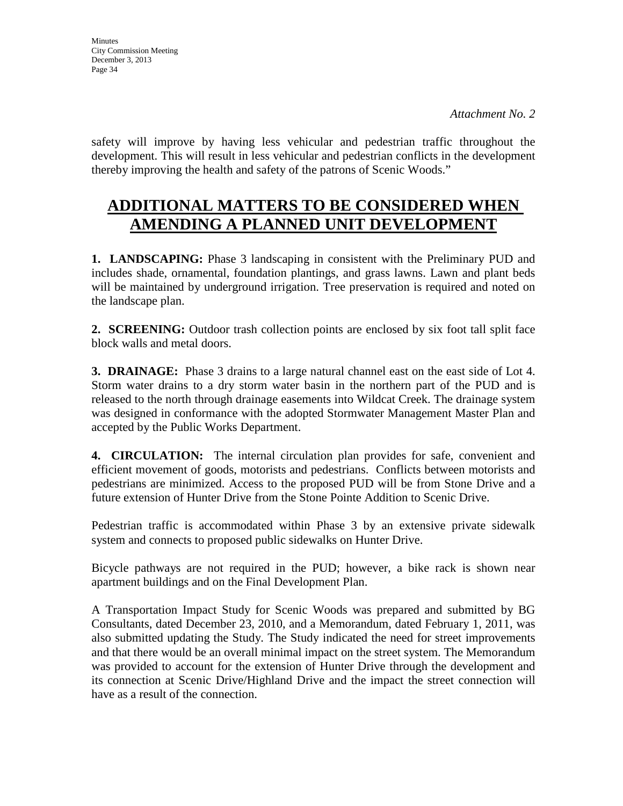safety will improve by having less vehicular and pedestrian traffic throughout the development. This will result in less vehicular and pedestrian conflicts in the development thereby improving the health and safety of the patrons of Scenic Woods."

# **ADDITIONAL MATTERS TO BE CONSIDERED WHEN AMENDING A PLANNED UNIT DEVELOPMENT**

**1. LANDSCAPING:** Phase 3 landscaping in consistent with the Preliminary PUD and includes shade, ornamental, foundation plantings, and grass lawns. Lawn and plant beds will be maintained by underground irrigation. Tree preservation is required and noted on the landscape plan.

**2. SCREENING:** Outdoor trash collection points are enclosed by six foot tall split face block walls and metal doors.

**3. DRAINAGE:** Phase 3 drains to a large natural channel east on the east side of Lot 4. Storm water drains to a dry storm water basin in the northern part of the PUD and is released to the north through drainage easements into Wildcat Creek. The drainage system was designed in conformance with the adopted Stormwater Management Master Plan and accepted by the Public Works Department.

**4. CIRCULATION:** The internal circulation plan provides for safe, convenient and efficient movement of goods, motorists and pedestrians. Conflicts between motorists and pedestrians are minimized. Access to the proposed PUD will be from Stone Drive and a future extension of Hunter Drive from the Stone Pointe Addition to Scenic Drive.

Pedestrian traffic is accommodated within Phase 3 by an extensive private sidewalk system and connects to proposed public sidewalks on Hunter Drive.

Bicycle pathways are not required in the PUD; however, a bike rack is shown near apartment buildings and on the Final Development Plan.

A Transportation Impact Study for Scenic Woods was prepared and submitted by BG Consultants, dated December 23, 2010, and a Memorandum, dated February 1, 2011, was also submitted updating the Study. The Study indicated the need for street improvements and that there would be an overall minimal impact on the street system. The Memorandum was provided to account for the extension of Hunter Drive through the development and its connection at Scenic Drive/Highland Drive and the impact the street connection will have as a result of the connection.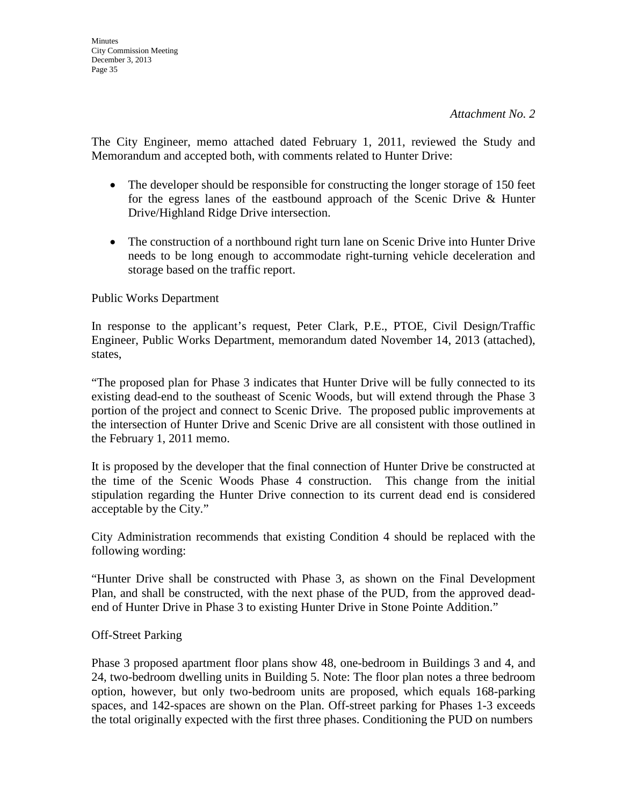The City Engineer, memo attached dated February 1, 2011, reviewed the Study and Memorandum and accepted both, with comments related to Hunter Drive:

- The developer should be responsible for constructing the longer storage of 150 feet for the egress lanes of the eastbound approach of the Scenic Drive & Hunter Drive/Highland Ridge Drive intersection.
- The construction of a northbound right turn lane on Scenic Drive into Hunter Drive needs to be long enough to accommodate right-turning vehicle deceleration and storage based on the traffic report.

Public Works Department

In response to the applicant's request, Peter Clark, P.E., PTOE, Civil Design/Traffic Engineer, Public Works Department, memorandum dated November 14, 2013 (attached), states,

"The proposed plan for Phase 3 indicates that Hunter Drive will be fully connected to its existing dead-end to the southeast of Scenic Woods, but will extend through the Phase 3 portion of the project and connect to Scenic Drive. The proposed public improvements at the intersection of Hunter Drive and Scenic Drive are all consistent with those outlined in the February 1, 2011 memo.

It is proposed by the developer that the final connection of Hunter Drive be constructed at the time of the Scenic Woods Phase 4 construction. This change from the initial stipulation regarding the Hunter Drive connection to its current dead end is considered acceptable by the City."

City Administration recommends that existing Condition 4 should be replaced with the following wording:

"Hunter Drive shall be constructed with Phase 3, as shown on the Final Development Plan, and shall be constructed, with the next phase of the PUD, from the approved deadend of Hunter Drive in Phase 3 to existing Hunter Drive in Stone Pointe Addition."

# Off-Street Parking

Phase 3 proposed apartment floor plans show 48, one-bedroom in Buildings 3 and 4, and 24, two-bedroom dwelling units in Building 5. Note: The floor plan notes a three bedroom option, however, but only two-bedroom units are proposed, which equals 168-parking spaces, and 142-spaces are shown on the Plan. Off-street parking for Phases 1-3 exceeds the total originally expected with the first three phases. Conditioning the PUD on numbers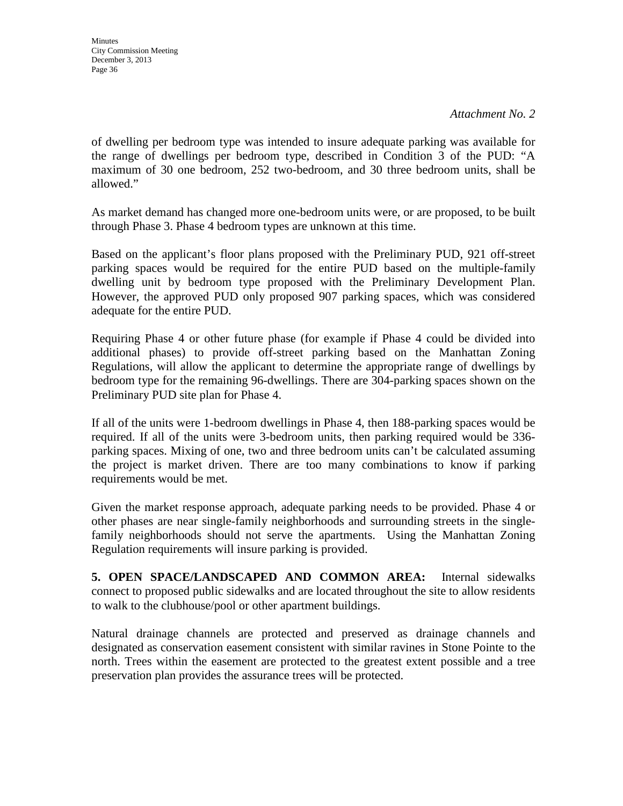of dwelling per bedroom type was intended to insure adequate parking was available for the range of dwellings per bedroom type, described in Condition 3 of the PUD: "A maximum of 30 one bedroom, 252 two-bedroom, and 30 three bedroom units, shall be allowed."

As market demand has changed more one-bedroom units were, or are proposed, to be built through Phase 3. Phase 4 bedroom types are unknown at this time.

Based on the applicant's floor plans proposed with the Preliminary PUD, 921 off-street parking spaces would be required for the entire PUD based on the multiple-family dwelling unit by bedroom type proposed with the Preliminary Development Plan. However, the approved PUD only proposed 907 parking spaces, which was considered adequate for the entire PUD.

Requiring Phase 4 or other future phase (for example if Phase 4 could be divided into additional phases) to provide off-street parking based on the Manhattan Zoning Regulations, will allow the applicant to determine the appropriate range of dwellings by bedroom type for the remaining 96-dwellings. There are 304-parking spaces shown on the Preliminary PUD site plan for Phase 4.

If all of the units were 1-bedroom dwellings in Phase 4, then 188-parking spaces would be required. If all of the units were 3-bedroom units, then parking required would be 336 parking spaces. Mixing of one, two and three bedroom units can't be calculated assuming the project is market driven. There are too many combinations to know if parking requirements would be met.

Given the market response approach, adequate parking needs to be provided. Phase 4 or other phases are near single-family neighborhoods and surrounding streets in the singlefamily neighborhoods should not serve the apartments. Using the Manhattan Zoning Regulation requirements will insure parking is provided.

**5. OPEN SPACE/LANDSCAPED AND COMMON AREA:** Internal sidewalks connect to proposed public sidewalks and are located throughout the site to allow residents to walk to the clubhouse/pool or other apartment buildings.

Natural drainage channels are protected and preserved as drainage channels and designated as conservation easement consistent with similar ravines in Stone Pointe to the north. Trees within the easement are protected to the greatest extent possible and a tree preservation plan provides the assurance trees will be protected.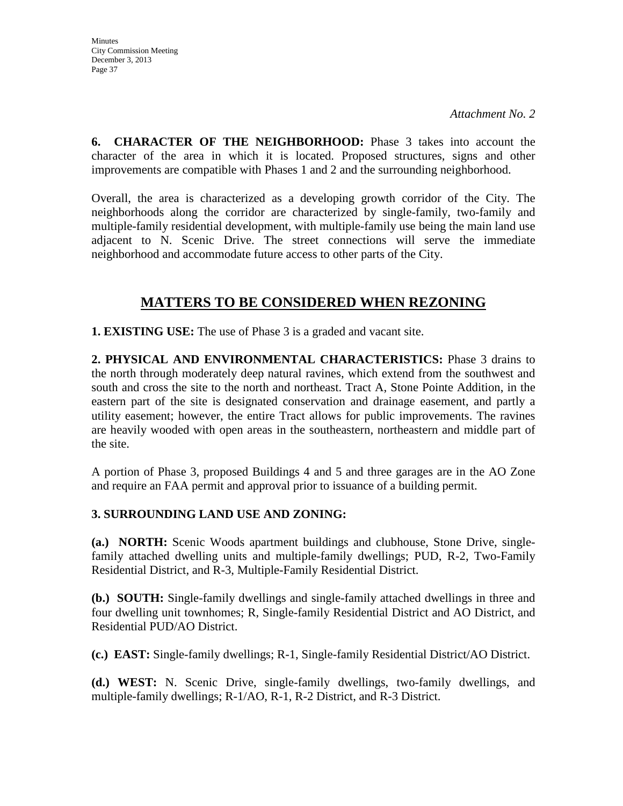**Minutes** City Commission Meeting December 3, 2013 Page 37

*Attachment No. 2*

**6. CHARACTER OF THE NEIGHBORHOOD:** Phase 3 takes into account the character of the area in which it is located. Proposed structures, signs and other improvements are compatible with Phases 1 and 2 and the surrounding neighborhood.

Overall, the area is characterized as a developing growth corridor of the City. The neighborhoods along the corridor are characterized by single-family, two-family and multiple-family residential development, with multiple-family use being the main land use adjacent to N. Scenic Drive. The street connections will serve the immediate neighborhood and accommodate future access to other parts of the City.

# **MATTERS TO BE CONSIDERED WHEN REZONING**

**1. EXISTING USE:** The use of Phase 3 is a graded and vacant site.

**2. PHYSICAL AND ENVIRONMENTAL CHARACTERISTICS:** Phase 3 drains to the north through moderately deep natural ravines, which extend from the southwest and south and cross the site to the north and northeast. Tract A, Stone Pointe Addition, in the eastern part of the site is designated conservation and drainage easement, and partly a utility easement; however, the entire Tract allows for public improvements. The ravines are heavily wooded with open areas in the southeastern, northeastern and middle part of the site.

A portion of Phase 3, proposed Buildings 4 and 5 and three garages are in the AO Zone and require an FAA permit and approval prior to issuance of a building permit.

# **3. SURROUNDING LAND USE AND ZONING:**

**(a.) NORTH:** Scenic Woods apartment buildings and clubhouse, Stone Drive, singlefamily attached dwelling units and multiple-family dwellings; PUD, R-2, Two-Family Residential District, and R-3, Multiple-Family Residential District.

**(b.) SOUTH:** Single-family dwellings and single-family attached dwellings in three and four dwelling unit townhomes; R, Single-family Residential District and AO District, and Residential PUD/AO District.

**(c.) EAST:** Single-family dwellings; R-1, Single-family Residential District/AO District.

**(d.) WEST:** N. Scenic Drive, single-family dwellings, two-family dwellings, and multiple-family dwellings; R-1/AO, R-1, R-2 District, and R-3 District.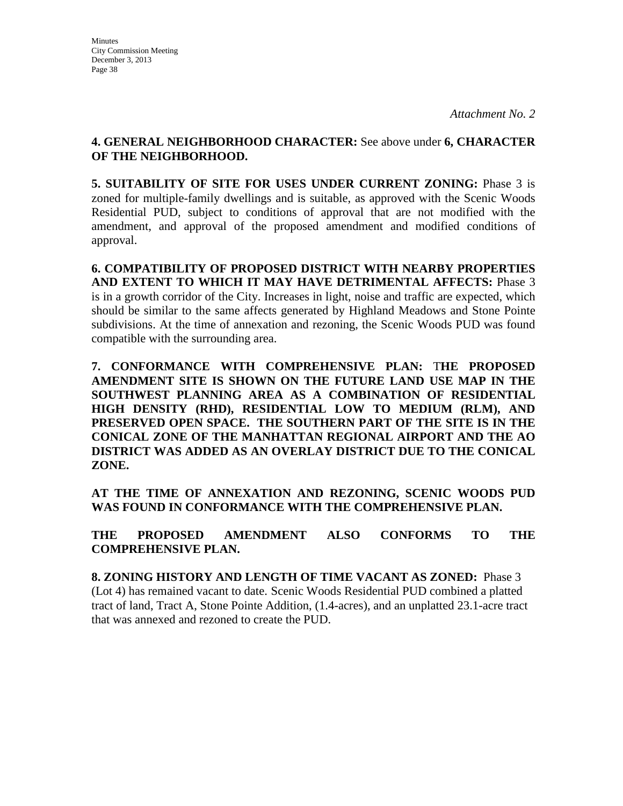# **4. GENERAL NEIGHBORHOOD CHARACTER:** See above under **6, CHARACTER OF THE NEIGHBORHOOD.**

**5. SUITABILITY OF SITE FOR USES UNDER CURRENT ZONING:** Phase 3 is zoned for multiple-family dwellings and is suitable, as approved with the Scenic Woods Residential PUD, subject to conditions of approval that are not modified with the amendment, and approval of the proposed amendment and modified conditions of approval.

**6. COMPATIBILITY OF PROPOSED DISTRICT WITH NEARBY PROPERTIES AND EXTENT TO WHICH IT MAY HAVE DETRIMENTAL AFFECTS:** Phase 3 is in a growth corridor of the City. Increases in light, noise and traffic are expected, which should be similar to the same affects generated by Highland Meadows and Stone Pointe subdivisions. At the time of annexation and rezoning, the Scenic Woods PUD was found compatible with the surrounding area.

**7. CONFORMANCE WITH COMPREHENSIVE PLAN:** T**HE PROPOSED AMENDMENT SITE IS SHOWN ON THE FUTURE LAND USE MAP IN THE SOUTHWEST PLANNING AREA AS A COMBINATION OF RESIDENTIAL HIGH DENSITY (RHD), RESIDENTIAL LOW TO MEDIUM (RLM), AND PRESERVED OPEN SPACE. THE SOUTHERN PART OF THE SITE IS IN THE CONICAL ZONE OF THE MANHATTAN REGIONAL AIRPORT AND THE AO DISTRICT WAS ADDED AS AN OVERLAY DISTRICT DUE TO THE CONICAL ZONE.**

**AT THE TIME OF ANNEXATION AND REZONING, SCENIC WOODS PUD WAS FOUND IN CONFORMANCE WITH THE COMPREHENSIVE PLAN.** 

**THE PROPOSED AMENDMENT ALSO CONFORMS TO THE COMPREHENSIVE PLAN.**

**8. ZONING HISTORY AND LENGTH OF TIME VACANT AS ZONED:** Phase 3 (Lot 4) has remained vacant to date. Scenic Woods Residential PUD combined a platted tract of land, Tract A, Stone Pointe Addition, (1.4-acres), and an unplatted 23.1-acre tract that was annexed and rezoned to create the PUD.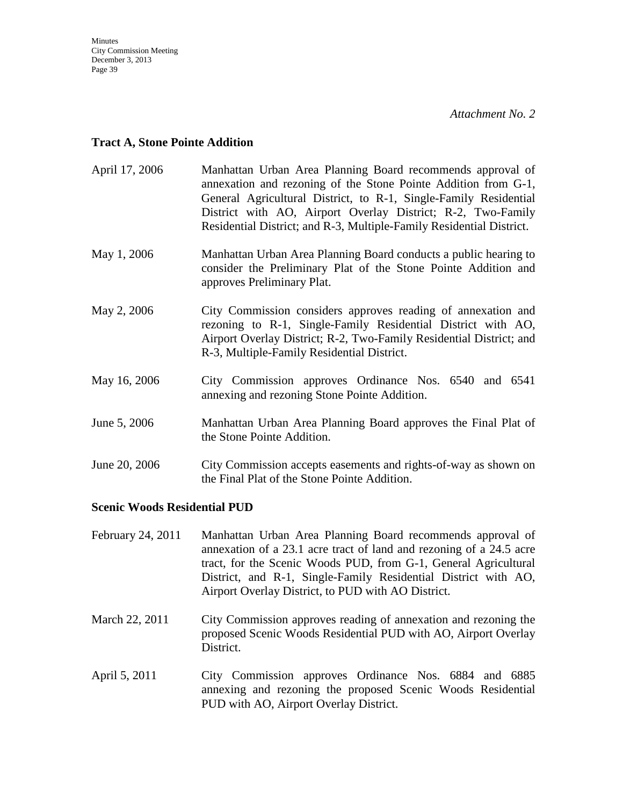### **Tract A, Stone Pointe Addition**

| April 17, 2006 | Manhattan Urban Area Planning Board recommends approval of<br>annexation and rezoning of the Stone Pointe Addition from G-1,<br>General Agricultural District, to R-1, Single-Family Residential<br>District with AO, Airport Overlay District; R-2, Two-Family<br>Residential District; and R-3, Multiple-Family Residential District. |
|----------------|-----------------------------------------------------------------------------------------------------------------------------------------------------------------------------------------------------------------------------------------------------------------------------------------------------------------------------------------|
| May 1, 2006    | Manhattan Urban Area Planning Board conducts a public hearing to<br>consider the Preliminary Plat of the Stone Pointe Addition and<br>approves Preliminary Plat.                                                                                                                                                                        |
| May 2, 2006    | City Commission considers approves reading of annexation and<br>rezoning to R-1, Single-Family Residential District with AO,<br>Airport Overlay District; R-2, Two-Family Residential District; and<br>R-3, Multiple-Family Residential District.                                                                                       |
| May 16, 2006   | City Commission approves Ordinance Nos. 6540 and 6541<br>annexing and rezoning Stone Pointe Addition.                                                                                                                                                                                                                                   |
| June 5, 2006   | Manhattan Urban Area Planning Board approves the Final Plat of<br>the Stone Pointe Addition.                                                                                                                                                                                                                                            |
| June 20, 2006  | City Commission accepts easements and rights-of-way as shown on<br>the Final Plat of the Stone Pointe Addition.                                                                                                                                                                                                                         |

### **Scenic Woods Residential PUD**

- February 24, 2011 Manhattan Urban Area Planning Board recommends approval of annexation of a 23.1 acre tract of land and rezoning of a 24.5 acre tract, for the Scenic Woods PUD, from G-1, General Agricultural District, and R-1, Single-Family Residential District with AO, Airport Overlay District, to PUD with AO District.
- March 22, 2011 City Commission approves reading of annexation and rezoning the proposed Scenic Woods Residential PUD with AO, Airport Overlay District.
- April 5, 2011 City Commission approves Ordinance Nos. 6884 and 6885 annexing and rezoning the proposed Scenic Woods Residential PUD with AO, Airport Overlay District.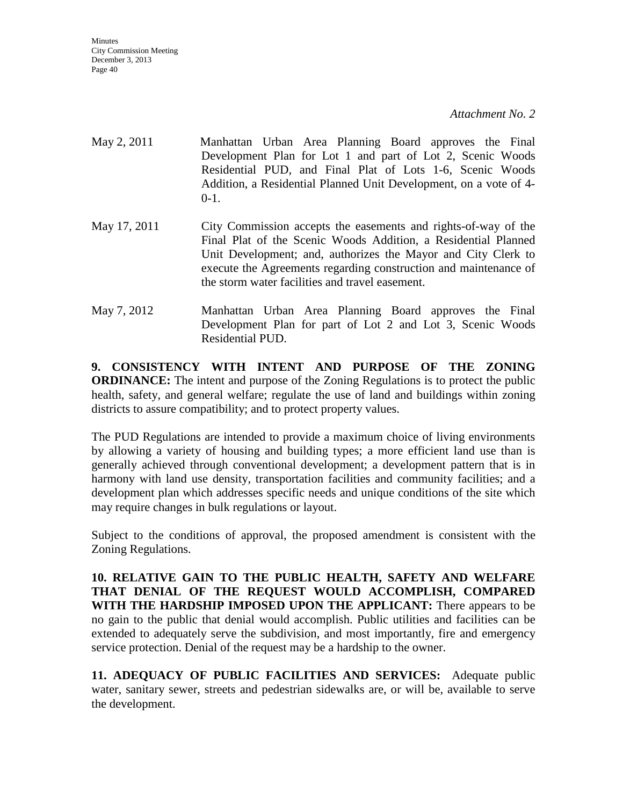- May 2, 2011 Manhattan Urban Area Planning Board approves the Final Development Plan for Lot 1 and part of Lot 2, Scenic Woods Residential PUD, and Final Plat of Lots 1-6, Scenic Woods Addition, a Residential Planned Unit Development, on a vote of 4-  $0-1.$
- May 17, 2011 City Commission accepts the easements and rights-of-way of the Final Plat of the Scenic Woods Addition, a Residential Planned Unit Development; and, authorizes the Mayor and City Clerk to execute the Agreements regarding construction and maintenance of the storm water facilities and travel easement.
- May 7, 2012 Manhattan Urban Area Planning Board approves the Final Development Plan for part of Lot 2 and Lot 3, Scenic Woods Residential PUD.

**9. CONSISTENCY WITH INTENT AND PURPOSE OF THE ZONING ORDINANCE:** The intent and purpose of the Zoning Regulations is to protect the public health, safety, and general welfare; regulate the use of land and buildings within zoning districts to assure compatibility; and to protect property values.

The PUD Regulations are intended to provide a maximum choice of living environments by allowing a variety of housing and building types; a more efficient land use than is generally achieved through conventional development; a development pattern that is in harmony with land use density, transportation facilities and community facilities; and a development plan which addresses specific needs and unique conditions of the site which may require changes in bulk regulations or layout.

Subject to the conditions of approval, the proposed amendment is consistent with the Zoning Regulations.

**10. RELATIVE GAIN TO THE PUBLIC HEALTH, SAFETY AND WELFARE THAT DENIAL OF THE REQUEST WOULD ACCOMPLISH, COMPARED WITH THE HARDSHIP IMPOSED UPON THE APPLICANT:** There appears to be no gain to the public that denial would accomplish. Public utilities and facilities can be extended to adequately serve the subdivision, and most importantly, fire and emergency service protection. Denial of the request may be a hardship to the owner.

**11. ADEQUACY OF PUBLIC FACILITIES AND SERVICES:** Adequate public water, sanitary sewer, streets and pedestrian sidewalks are, or will be, available to serve the development.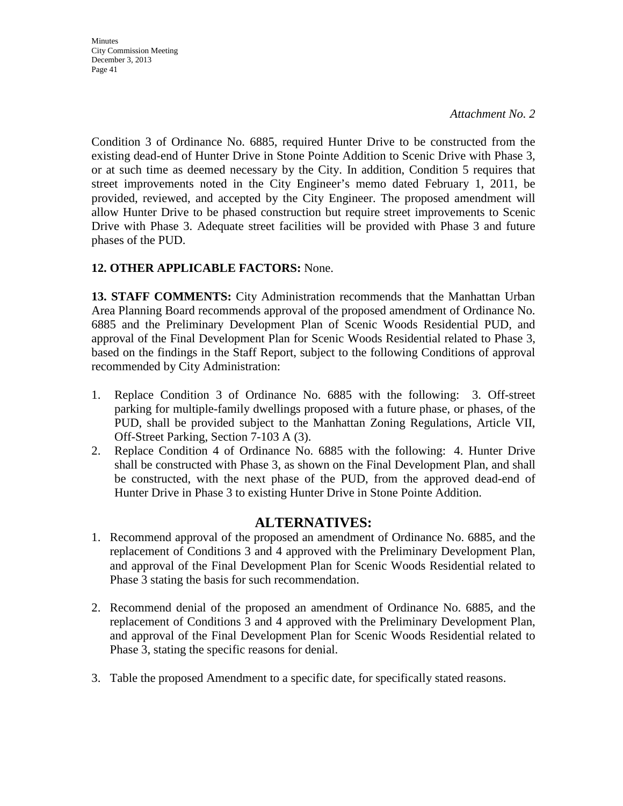**Minutes** City Commission Meeting December 3, 2013 Page 41

*Attachment No. 2*

Condition 3 of Ordinance No. 6885, required Hunter Drive to be constructed from the existing dead-end of Hunter Drive in Stone Pointe Addition to Scenic Drive with Phase 3, or at such time as deemed necessary by the City. In addition, Condition 5 requires that street improvements noted in the City Engineer's memo dated February 1, 2011, be provided, reviewed, and accepted by the City Engineer. The proposed amendment will allow Hunter Drive to be phased construction but require street improvements to Scenic Drive with Phase 3. Adequate street facilities will be provided with Phase 3 and future phases of the PUD.

# **12. OTHER APPLICABLE FACTORS:** None.

**13. STAFF COMMENTS:** City Administration recommends that the Manhattan Urban Area Planning Board recommends approval of the proposed amendment of Ordinance No. 6885 and the Preliminary Development Plan of Scenic Woods Residential PUD, and approval of the Final Development Plan for Scenic Woods Residential related to Phase 3, based on the findings in the Staff Report, subject to the following Conditions of approval recommended by City Administration:

- 1. Replace Condition 3 of Ordinance No. 6885 with the following: 3. Off-street parking for multiple-family dwellings proposed with a future phase, or phases, of the PUD, shall be provided subject to the Manhattan Zoning Regulations, Article VII, Off-Street Parking, Section 7-103 A (3).
- 2. Replace Condition 4 of Ordinance No. 6885 with the following: 4. Hunter Drive shall be constructed with Phase 3, as shown on the Final Development Plan, and shall be constructed, with the next phase of the PUD, from the approved dead-end of Hunter Drive in Phase 3 to existing Hunter Drive in Stone Pointe Addition.

# **ALTERNATIVES:**

- 1. Recommend approval of the proposed an amendment of Ordinance No. 6885, and the replacement of Conditions 3 and 4 approved with the Preliminary Development Plan, and approval of the Final Development Plan for Scenic Woods Residential related to Phase 3 stating the basis for such recommendation.
- 2. Recommend denial of the proposed an amendment of Ordinance No. 6885, and the replacement of Conditions 3 and 4 approved with the Preliminary Development Plan, and approval of the Final Development Plan for Scenic Woods Residential related to Phase 3, stating the specific reasons for denial.
- 3. Table the proposed Amendment to a specific date, for specifically stated reasons.